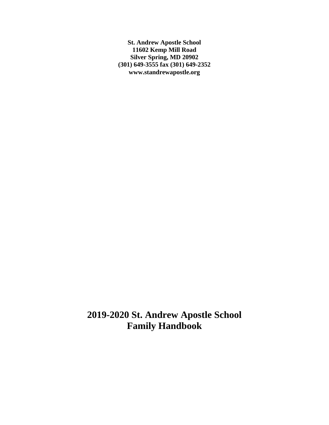**St. Andrew Apostle School 11602 Kemp Mill Road Silver Spring, MD 20902 (301) 649-3555 fax (301) 649-2352 www.standrewapostle.org**

**2019-2020 St. Andrew Apostle School Family Handbook**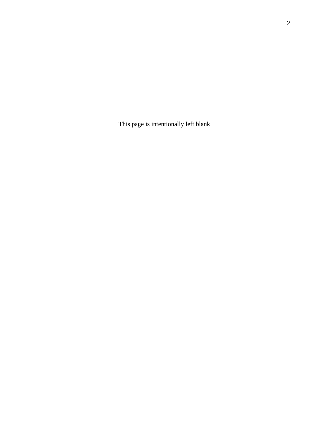This page is intentionally left blank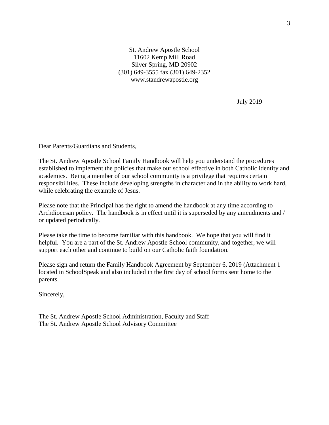St. Andrew Apostle School 11602 Kemp Mill Road Silver Spring, MD 20902 (301) 649-3555 fax (301) 649-2352 www.standrewapostle.org

July 2019

Dear Parents/Guardians and Students,

The St. Andrew Apostle School Family Handbook will help you understand the procedures established to implement the policies that make our school effective in both Catholic identity and academics. Being a member of our school community is a privilege that requires certain responsibilities. These include developing strengths in character and in the ability to work hard, while celebrating the example of Jesus.

Please note that the Principal has the right to amend the handbook at any time according to Archdiocesan policy. The handbook is in effect until it is superseded by any amendments and / or updated periodically.

Please take the time to become familiar with this handbook. We hope that you will find it helpful. You are a part of the St. Andrew Apostle School community, and together, we will support each other and continue to build on our Catholic faith foundation.

Please sign and return the Family Handbook Agreement by September 6, 2019 (Attachment 1 located in SchoolSpeak and also included in the first day of school forms sent home to the parents.

Sincerely,

The St. Andrew Apostle School Administration, Faculty and Staff The St. Andrew Apostle School Advisory Committee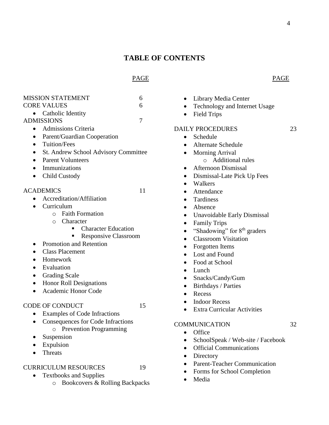# PAGE PAGE

## MISSION STATEMENT 6 CORE VALUES 6 • Catholic Identity ADMISSIONS 7 • Admissions Criteria

- Parent/Guardian Cooperation
- Tuition/Fees
- St. Andrew School Advisory Committee
- Parent Volunteers
- Immunizations
- Child Custody

#### ACADEMICS 11

- Accreditation/Affiliation
- Curriculum
	- o Faith Formation
	- o Character
		- Character Education
		- Responsive Classroom
- Promotion and Retention
- Class Placement
- Homework
- Evaluation
- Grading Scale
- Honor Roll Designations
- Academic Honor Code

#### CODE OF CONDUCT 15

- Examples of Code Infractions
- Consequences for Code Infractions o Prevention Programming
- Suspension
- Expulsion
- Threats

#### CURRICULUM RESOURCES 19

- Textbooks and Supplies
	- o Bookcovers & Rolling Backpacks
- Library Media Center
- Technology and Internet Usage
- Field Trips

#### DAILY PROCEDURES 23

- Schedule
- Alternate Schedule
- Morning Arrival o Additional rules
- Afternoon Dismissal
- Dismissal-Late Pick Up Fees
- Walkers
- Attendance
- Tardiness
- Absence
- Unavoidable Early Dismissal
- Family Trips
- "Shadowing" for  $8<sup>th</sup>$  graders
- Classroom Visitation
- Forgotten Items
- Lost and Found
- Food at School
- Lunch
- Snacks/Candy/Gum
- Birthdays / Parties
- Recess
- Indoor Recess
- **Extra Curricular Activities**

#### COMMUNICATION 32

- Office
- SchoolSpeak / Web-site / Facebook
- Official Communications
- Directory
- Parent-Teacher Communication
- Forms for School Completion
- Media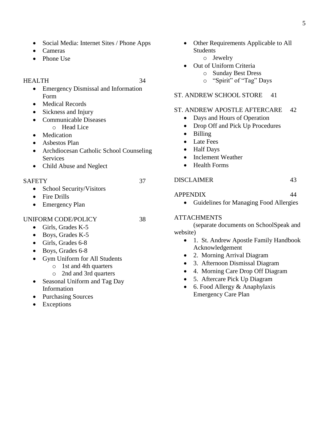- Social Media: Internet Sites / Phone Apps
- Cameras
- Phone Use

## HEALTH 34

- Emergency Dismissal and Information Form
- Medical Records
- Sickness and Injury
- Communicable Diseases
	- o Head Lice
- Medication
- Asbestos Plan
- Archdiocesan Catholic School Counseling **Services**
- Child Abuse and Neglect

## SAFETY 37

- School Security/Visitors
- Fire Drills
- Emergency Plan

## UNIFORM CODE/POLICY 38

- Girls, Grades K-5
- Boys, Grades K-5
- Girls, Grades 6-8
- Boys, Grades 6-8
- Gym Uniform for All Students
	- o 1st and 4th quarters
	- o 2nd and 3rd quarters
- Seasonal Uniform and Tag Day Information
- Purchasing Sources
- Exceptions
- Other Requirements Applicable to All Students
	- o Jewelry
- Out of Uniform Criteria
	- o Sunday Best Dress
	- o "Spirit" of "Tag" Days

## ST. ANDREW SCHOOL STORE 41

## ST. ANDREW APOSTLE AFTERCARE 42

- Days and Hours of Operation
- Drop Off and Pick Up Procedures
- Billing
- Late Fees
- Half Days
- Inclement Weather
- Health Forms

## DISCLAIMER 43

## APPENDIX 44

• Guidelines for Managing Food Allergies

## ATTACHMENTS

(separate documents on SchoolSpeak and website)

- 1. St. Andrew Apostle Family Handbook Acknowledgement
- 2. Morning Arrival Diagram
- 3. Afternoon Dismissal Diagram
- 4. Morning Care Drop Off Diagram
- 5. Aftercare Pick Up Diagram
- 6. Food Allergy & Anaphylaxis Emergency Care Plan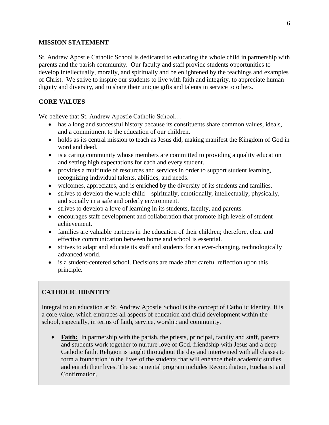#### **MISSION STATEMENT**

St. Andrew Apostle Catholic School is dedicated to educating the whole child in partnership with parents and the parish community. Our faculty and staff provide students opportunities to develop intellectually, morally, and spiritually and be enlightened by the teachings and examples of Christ. We strive to inspire our students to live with faith and integrity, to appreciate human dignity and diversity, and to share their unique gifts and talents in service to others.

## **CORE VALUES**

We believe that St. Andrew Apostle Catholic School…

- has a long and successful history because its constituents share common values, ideals, and a commitment to the education of our children.
- holds as its central mission to teach as Jesus did, making manifest the Kingdom of God in word and deed.
- is a caring community whose members are committed to providing a quality education and setting high expectations for each and every student.
- provides a multitude of resources and services in order to support student learning, recognizing individual talents, abilities, and needs.
- welcomes, appreciates, and is enriched by the diversity of its students and families.
- strives to develop the whole child spiritually, emotionally, intellectually, physically, and socially in a safe and orderly environment.
- strives to develop a love of learning in its students, faculty, and parents.
- encourages staff development and collaboration that promote high levels of student achievement.
- families are valuable partners in the education of their children; therefore, clear and effective communication between home and school is essential.
- strives to adapt and educate its staff and students for an ever-changing, technologically advanced world.
- is a student-centered school. Decisions are made after careful reflection upon this principle.

# **CATHOLIC IDENTITY**

Integral to an education at St. Andrew Apostle School is the concept of Catholic Identity. It is a core value, which embraces all aspects of education and child development within the school, especially, in terms of faith, service, worship and community.

• **Faith:** In partnership with the parish, the priests, principal, faculty and staff, parents and students work together to nurture love of God, friendship with Jesus and a deep Catholic faith. Religion is taught throughout the day and intertwined with all classes to form a foundation in the lives of the students that will enhance their academic studies and enrich their lives. The sacramental program includes Reconciliation, Eucharist and Confirmation.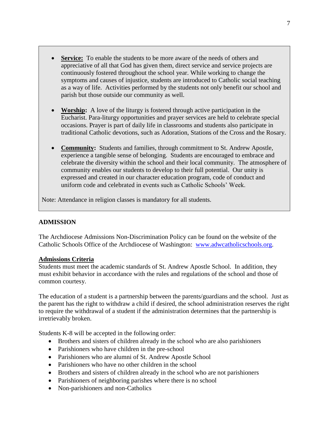- **Service:** To enable the students to be more aware of the needs of others and appreciative of all that God has given them, direct service and service projects are continuously fostered throughout the school year. While working to change the symptoms and causes of injustice, students are introduced to Catholic social teaching as a way of life. Activities performed by the students not only benefit our school and parish but those outside our community as well.
- **Worship:** A love of the liturgy is fostered through active participation in the Eucharist. Para-liturgy opportunities and prayer services are held to celebrate special occasions. Prayer is part of daily life in classrooms and students also participate in traditional Catholic devotions, such as Adoration, Stations of the Cross and the Rosary.
- **Community:** Students and families, through commitment to St. Andrew Apostle, experience a tangible sense of belonging. Students are encouraged to embrace and celebrate the diversity within the school and their local community. The atmosphere of community enables our students to develop to their full potential. Our unity is expressed and created in our character education program, code of conduct and uniform code and celebrated in events such as Catholic Schools' Week.

Note: Attendance in religion classes is mandatory for all students.

## **ADMISSION**

The Archdiocese Admissions Non-Discrimination Policy can be found on the website of the Catholic Schools Office of the Archdiocese of Washington: [www.adwcatholicschools.org.](http://www.adwcatholicschools.org/)

#### **Admissions Criteria**

Students must meet the academic standards of St. Andrew Apostle School. In addition, they must exhibit behavior in accordance with the rules and regulations of the school and those of common courtesy.

The education of a student is a partnership between the parents/guardians and the school. Just as the parent has the right to withdraw a child if desired, the school administration reserves the right to require the withdrawal of a student if the administration determines that the partnership is irretrievably broken.

Students K-8 will be accepted in the following order:

- Brothers and sisters of children already in the school who are also parishioners
- Parishioners who have children in the pre-school
- Parishioners who are alumni of St. Andrew Apostle School
- Parishioners who have no other children in the school
- Brothers and sisters of children already in the school who are not parishioners
- Parishioners of neighboring parishes where there is no school
- Non-parishioners and non-Catholics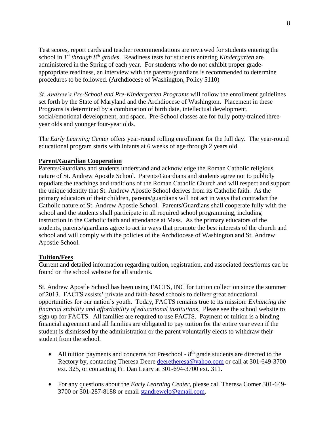Test scores, report cards and teacher recommendations are reviewed for students entering the school in *1 st through 8th grades*. Readiness tests for students entering *Kindergarten* are administered in the Spring of each year. For students who do not exhibit proper gradeappropriate readiness, an interview with the parents/guardians is recommended to determine procedures to be followed. (Archdiocese of Washington, Policy 5110)

*St. Andrew's Pre-School and Pre-Kindergarten Programs* will follow the enrollment guidelines set forth by the State of Maryland and the Archdiocese of Washington. Placement in these Programs is determined by a combination of birth date, intellectual development, social/emotional development, and space. Pre-School classes are for fully potty-trained threeyear olds and younger four-year olds.

The *Early Learning Center* offers year-round rolling enrollment for the full day. The year-round educational program starts with infants at 6 weeks of age through 2 years old.

#### **Parent/Guardian Cooperation**

Parents/Guardians and students understand and acknowledge the Roman Catholic religious nature of St. Andrew Apostle School. Parents/Guardians and students agree not to publicly repudiate the teachings and traditions of the Roman Catholic Church and will respect and support the unique identity that St. Andrew Apostle School derives from its Catholic faith. As the primary educators of their children, parents/guardians will not act in ways that contradict the Catholic nature of St. Andrew Apostle School. Parents/Guardians shall cooperate fully with the school and the students shall participate in all required school programming, including instruction in the Catholic faith and attendance at Mass. As the primary educators of the students, parents/guardians agree to act in ways that promote the best interests of the church and school and will comply with the policies of the Archdiocese of Washington and St. Andrew Apostle School.

#### **Tuition/Fees**

Current and detailed information regarding tuition, registration, and associated fees/forms can be found on the school website for all students.

St. Andrew Apostle School has been using FACTS, INC for tuition collection since the summer of 2013. FACTS assists' private and faith-based schools to deliver great educational opportunities for our nation's youth. Today, FACTS remains true to its mission: *Enhancing the financial stability and affordability of educational institutions*. Please see the school website to sign up for FACTS. All families are required to use FACTS. Payment of tuition is a binding financial agreement and all families are obligated to pay tuition for the entire year even if the student is dismissed by the administration or the parent voluntarily elects to withdraw their student from the school.

- All tuition payments and concerns for Preschool  $8<sup>th</sup>$  grade students are directed to the Rectory by, contacting Theresa Deere [deeretheresa@yahoo.com](mailto:deeretheresa@yahoo.com) or call at 301-649-3700 ext. 325, or contacting Fr. Dan Leary at 301-694-3700 ext. 311.
- For any questions about the *Early Learning Center*, please call Theresa Comer 301-649- 3700 or 301-287-8188 or email [standrewelc@gmail.com.](mailto:standrewelc@gmail.com)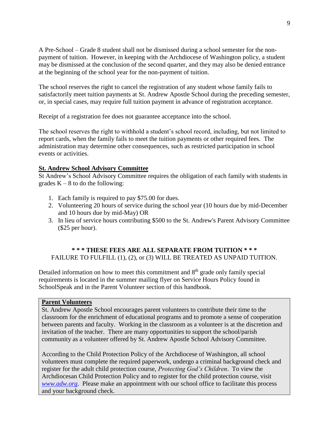A Pre-School – Grade 8 student shall not be dismissed during a school semester for the nonpayment of tuition. However, in keeping with the Archdiocese of Washington policy, a student may be dismissed at the conclusion of the second quarter, and they may also be denied entrance at the beginning of the school year for the non-payment of tuition.

The school reserves the right to cancel the registration of any student whose family fails to satisfactorily meet tuition payments at St. Andrew Apostle School during the preceding semester, or, in special cases, may require full tuition payment in advance of registration acceptance.

Receipt of a registration fee does not guarantee acceptance into the school.

The school reserves the right to withhold a student's school record, including, but not limited to report cards, when the family fails to meet the tuition payments or other required fees. The administration may determine other consequences, such as restricted participation in school events or activities.

#### **St. Andrew School Advisory Committee**

St Andrew's School Advisory Committee requires the obligation of each family with students in grades  $K - 8$  to do the following:

- 1. Each family is required to pay \$75.00 for dues.
- 2. Volunteering 20 hours of service during the school year (10 hours due by mid-December and 10 hours due by mid-May) OR
- 3. In lieu of service hours contributing \$500 to the St. Andrew's Parent Advisory Committee (\$25 per hour).

## **\* \* \* THESE FEES ARE ALL SEPARATE FROM TUITION \* \* \*** FAILURE TO FULFILL (1), (2), or (3) WILL BE TREATED AS UNPAID TUITION.

Detailed information on how to meet this commitment and 8<sup>th</sup> grade only family special requirements is located in the summer mailing flyer on Service Hours Policy found in SchoolSpeak and in the Parent Volunteer section of this handbook.

#### **Parent Volunteers**

St. Andrew Apostle School encourages parent volunteers to contribute their time to the classroom for the enrichment of educational programs and to promote a sense of cooperation between parents and faculty. Working in the classroom as a volunteer is at the discretion and invitation of the teacher. There are many opportunities to support the school/parish community as a volunteer offered by St. Andrew Apostle School Advisory Committee.

According to the Child Protection Policy of the Archdiocese of Washington, all school volunteers must complete the required paperwork, undergo a criminal background check and register for the adult child protection course, *Protecting God's Children*. To view the Archdiocesan Child Protection Policy and to register for the child protection course, visit *[www.adw.org](http://www.adw.org/)*. Please make an appointment with our school office to facilitate this process and your background check.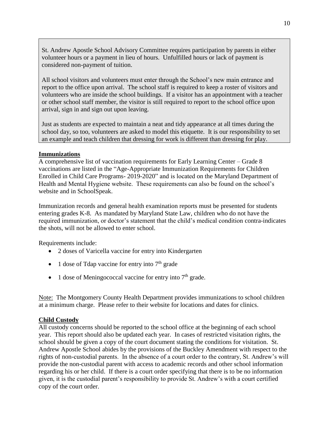St. Andrew Apostle School Advisory Committee requires participation by parents in either volunteer hours or a payment in lieu of hours. Unfulfilled hours or lack of payment is considered non-payment of tuition.

All school visitors and volunteers must enter through the School's new main entrance and report to the office upon arrival. The school staff is required to keep a roster of visitors and volunteers who are inside the school buildings. If a visitor has an appointment with a teacher or other school staff member, the visitor is still required to report to the school office upon arrival, sign in and sign out upon leaving.

Just as students are expected to maintain a neat and tidy appearance at all times during the school day, so too, volunteers are asked to model this etiquette. It is our responsibility to set an example and teach children that dressing for work is different than dressing for play.

#### **Immunizations**

A comprehensive list of vaccination requirements for Early Learning Center – Grade 8 vaccinations are listed in the "Age-Appropriate Immunization Requirements for Children Enrolled in Child Care Programs- 2019-2020" and is located on the Maryland Department of Health and Mental Hygiene website. These requirements can also be found on the school's website and in SchoolSpeak.

Immunization records and general health examination reports must be presented for students entering grades K-8. As mandated by Maryland State Law, children who do not have the required immunization, or doctor's statement that the child's medical condition contra-indicates the shots, will not be allowed to enter school.

Requirements include:

- 2 doses of Varicella vaccine for entry into Kindergarten
- 1 dose of Tdap vaccine for entry into  $7<sup>th</sup>$  grade
- $\bullet$  1 dose of Meningococcal vaccine for entry into  $7<sup>th</sup>$  grade.

Note: The Montgomery County Health Department provides immunizations to school children at a minimum charge. Please refer to their website for locations and dates for clinics.

#### **Child Custody**

All custody concerns should be reported to the school office at the beginning of each school year. This report should also be updated each year. In cases of restricted visitation rights, the school should be given a copy of the court document stating the conditions for visitation. St. Andrew Apostle School abides by the provisions of the Buckley Amendment with respect to the rights of non-custodial parents. In the absence of a court order to the contrary, St. Andrew's will provide the non-custodial parent with access to academic records and other school information regarding his or her child. If there is a court order specifying that there is to be no information given, it is the custodial parent's responsibility to provide St. Andrew's with a court certified copy of the court order.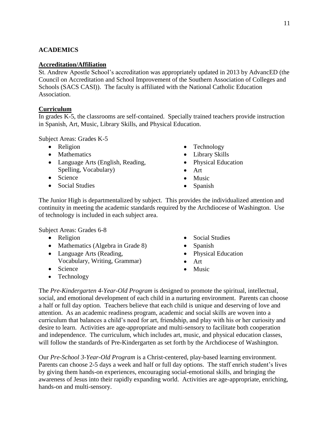## **ACADEMICS**

## **Accreditation/Affiliation**

St. Andrew Apostle School's accreditation was appropriately updated in 2013 by AdvancED (the Council on Accreditation and School Improvement of the Southern Association of Colleges and Schools (SACS CASI)). The faculty is affiliated with the National Catholic Education Association.

## **Curriculum**

In grades K-5, the classrooms are self-contained. Specially trained teachers provide instruction in Spanish, Art, Music, Library Skills, and Physical Education.

Subject Areas: Grades K-5

- Religion
- Mathematics
- Language Arts (English, Reading, Spelling, Vocabulary)
- Science
- Social Studies
- Technology
- Library Skills
- Physical Education
- Art
- Music
- Spanish

The Junior High is departmentalized by subject. This provides the individualized attention and continuity in meeting the academic standards required by the Archdiocese of Washington. Use of technology is included in each subject area.

Subject Areas: Grades 6-8

- Religion
- Mathematics (Algebra in Grade 8)
- Language Arts (Reading, Vocabulary, Writing, Grammar)
- Science
- Technology
- Social Studies
- Spanish
- Physical Education
- Art
- Music

The *Pre-Kindergarten 4-Year-Old Program* is designed to promote the spiritual, intellectual, social, and emotional development of each child in a nurturing environment. Parents can choose a half or full day option. Teachers believe that each child is unique and deserving of love and attention. As an academic readiness program, academic and social skills are woven into a curriculum that balances a child's need for art, friendship, and play with his or her curiosity and desire to learn. Activities are age-appropriate and multi-sensory to facilitate both cooperation and independence. The curriculum, which includes art, music, and physical education classes, will follow the standards of Pre-Kindergarten as set forth by the Archdiocese of Washington.

Our *Pre-School 3-Year-Old Program* is a Christ-centered, play-based learning environment. Parents can choose 2-5 days a week and half or full day options. The staff enrich student's lives by giving them hands-on experiences, encouraging social-emotional skills, and bringing the awareness of Jesus into their rapidly expanding world. Activities are age-appropriate, enriching, hands-on and multi-sensory.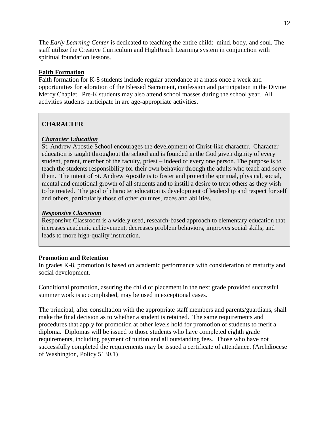The *Early Learning Center* is dedicated to teaching the entire child: mind, body, and soul. The staff utilize the Creative Curriculum and HighReach Learning system in conjunction with spiritual foundation lessons.

## **Faith Formation**

Faith formation for K-8 students include regular attendance at a mass once a week and opportunities for adoration of the Blessed Sacrament, confession and participation in the Divine Mercy Chaplet. Pre-K students may also attend school masses during the school year. All activities students participate in are age-appropriate activities.

# **CHARACTER**

## *Character Education*

St. Andrew Apostle School encourages the development of Christ-like character. Character education is taught throughout the school and is founded in the God given dignity of every student, parent, member of the faculty, priest – indeed of every one person. The purpose is to teach the students responsibility for their own behavior through the adults who teach and serve them. The intent of St. Andrew Apostle is to foster and protect the spiritual, physical, social, mental and emotional growth of all students and to instill a desire to treat others as they wish to be treated. The goal of character education is development of leadership and respect for self and others, particularly those of other cultures, races and abilities.

## *Responsive Classroom*

Responsive Classroom is a widely used, research-based approach to elementary education that increases academic achievement, decreases problem behaviors, improves social skills, and leads to more high-quality instruction.

## **Promotion and Retention**

In grades K-8, promotion is based on academic performance with consideration of maturity and social development.

Conditional promotion, assuring the child of placement in the next grade provided successful summer work is accomplished, may be used in exceptional cases.

The principal, after consultation with the appropriate staff members and parents/guardians, shall make the final decision as to whether a student is retained. The same requirements and procedures that apply for promotion at other levels hold for promotion of students to merit a diploma. Diplomas will be issued to those students who have completed eighth grade requirements, including payment of tuition and all outstanding fees*.* Those who have not successfully completed the requirements may be issued a certificate of attendance. (Archdiocese of Washington, Policy 5130.1)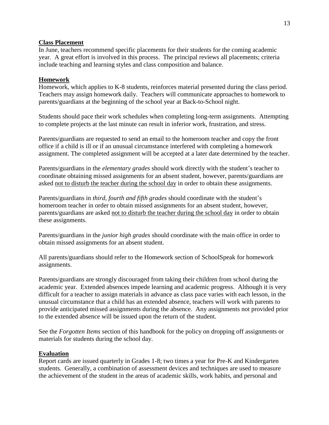#### **Class Placement**

In June, teachers recommend specific placements for their students for the coming academic year. A great effort is involved in this process. The principal reviews all placements; criteria include teaching and learning styles and class composition and balance.

## **Homework**

Homework, which applies to K-8 students, reinforces material presented during the class period. Teachers may assign homework daily. Teachers will communicate approaches to homework to parents/guardians at the beginning of the school year at Back-to-School night.

Students should pace their work schedules when completing long-term assignments. Attempting to complete projects at the last minute can result in inferior work, frustration, and stress.

Parents/guardians are requested to send an email to the homeroom teacher and copy the front office if a child is ill or if an unusual circumstance interfered with completing a homework assignment. The completed assignment will be accepted at a later date determined by the teacher.

Parents/guardians in the *elementary grades* should work directly with the student's teacher to coordinate obtaining missed assignments for an absent student, however, parents/guardians are asked not to disturb the teacher during the school day in order to obtain these assignments.

Parents/guardians in *third, fourth and fifth grades* should coordinate with the student's homeroom teacher in order to obtain missed assignments for an absent student, however, parents/guardians are asked not to disturb the teacher during the school day in order to obtain these assignments.

Parents/guardians in the *junior high grades* should coordinate with the main office in order to obtain missed assignments for an absent student.

All parents/guardians should refer to the Homework section of SchoolSpeak for homework assignments.

Parents/guardians are strongly discouraged from taking their children from school during the academic year. Extended absences impede learning and academic progress. Although it is very difficult for a teacher to assign materials in advance as class pace varies with each lesson, in the unusual circumstance that a child has an extended absence, teachers will work with parents to provide anticipated missed assignments during the absence. Any assignments not provided prior to the extended absence will be issued upon the return of the student.

See the *Forgotten Items* section of this handbook for the policy on dropping off assignments or materials for students during the school day.

#### **Evaluation**

Report cards are issued quarterly in Grades 1-8; two times a year for Pre-K and Kindergarten students. Generally, a combination of assessment devices and techniques are used to measure the achievement of the student in the areas of academic skills, work habits, and personal and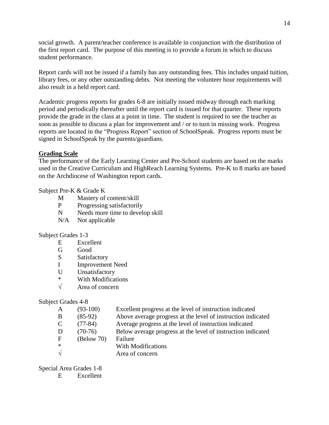social growth. A parent/teacher conference is available in conjunction with the distribution of the first report card. The purpose of this meeting is to provide a forum in which to discuss student performance.

Report cards will not be issued if a family has any outstanding fees. This includes unpaid tuition, library fees, or any other outstanding debts. Not meeting the volunteer hour requirements will also result in a held report card.

Academic progress reports for grades 6-8 are initially issued midway through each marking period and periodically thereafter until the report card is issued for that quarter. These reports provide the grade in the class at a point in time. The student is required to see the teacher as soon as possible to discuss a plan for improvement and / or to turn in missing work. Progress reports are located in the "Progress Report" section of SchoolSpeak. Progress reports must be signed in SchoolSpeak by the parents/guardians.

### **Grading Scale**

The performance of the Early Learning Center and Pre-School students are based on the marks used in the Creative Curriculum and HighReach Learning Systems. Pre-K to 8 marks are based on the Archdiocese of Washington report cards.

### Subject Pre-K & Grade K

- M Mastery of content/skill
- P Progressing satisfactorily
- N Needs more time to develop skill
- N/A Not applicable

#### Subject Grades 1-3

- E Excellent
- G Good
- S Satisfactory
- I Improvement Need
- U Unsatisfactory
- \* With Modifications
- $\sqrt{\phantom{a}}$  Area of concern

#### Subject Grades 4-8

| A            | $(93-100)$ | Excellent progress at the level of instruction indicated     |
|--------------|------------|--------------------------------------------------------------|
| B            | $(85-92)$  | Above average progress at the level of instruction indicated |
| $\mathbf C$  | $(77-84)$  | Average progress at the level of instruction indicated       |
| D            | $(70-76)$  | Below average progress at the level of instruction indicated |
| $\mathbf{F}$ | (Below 70) | Failure                                                      |
| $\ast$       |            | <b>With Modifications</b>                                    |
| $\sqrt{ }$   |            | Area of concern                                              |

#### Special Area Grades 1-8

E Excellent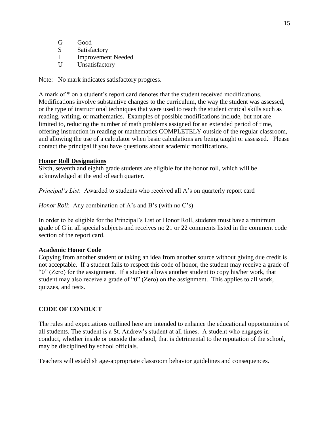- G Good
- S Satisfactory
- I Improvement Needed
- U Unsatisfactory

Note: No mark indicates satisfactory progress.

A mark of \* on a student's report card denotes that the student received modifications. Modifications involve substantive changes to the curriculum, the way the student was assessed, or the type of instructional techniques that were used to teach the student critical skills such as reading, writing, or mathematics. Examples of possible modifications include, but not are limited to, reducing the number of math problems assigned for an extended period of time, offering instruction in reading or mathematics COMPLETELY outside of the regular classroom, and allowing the use of a calculator when basic calculations are being taught or assessed. Please contact the principal if you have questions about academic modifications.

## **Honor Roll Designations**

Sixth, seventh and eighth grade students are eligible for the honor roll, which will be acknowledged at the end of each quarter.

*Principal's List*: Awarded to students who received all A's on quarterly report card

*Honor Roll:* Any combination of A's and B's (with no C's)

In order to be eligible for the Principal's List or Honor Roll, students must have a minimum grade of G in all special subjects and receives no 21 or 22 comments listed in the comment code section of the report card.

#### **Academic Honor Code**

Copying from another student or taking an idea from another source without giving due credit is not acceptable. If a student fails to respect this code of honor, the student may receive a grade of "0" (Zero) for the assignment. If a student allows another student to copy his/her work, that student may also receive a grade of "0" (Zero) on the assignment. This applies to all work, quizzes, and tests.

## **CODE OF CONDUCT**

The rules and expectations outlined here are intended to enhance the educational opportunities of all students. The student is a St. Andrew's student at all times. A student who engages in conduct, whether inside or outside the school, that is detrimental to the reputation of the school, may be disciplined by school officials.

Teachers will establish age-appropriate classroom behavior guidelines and consequences.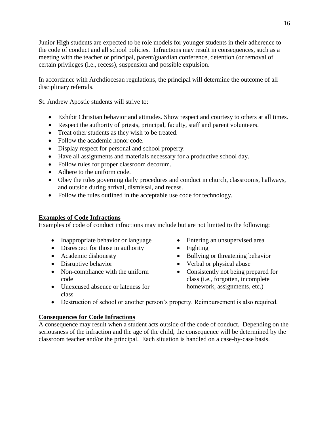Junior High students are expected to be role models for younger students in their adherence to the code of conduct and all school policies. Infractions may result in consequences, such as a meeting with the teacher or principal, parent/guardian conference, detention (or removal of certain privileges (i.e., recess), suspension and possible expulsion.

In accordance with Archdiocesan regulations, the principal will determine the outcome of all disciplinary referrals.

St. Andrew Apostle students will strive to:

- Exhibit Christian behavior and attitudes. Show respect and courtesy to others at all times.
- Respect the authority of priests, principal, faculty, staff and parent volunteers.
- Treat other students as they wish to be treated.
- Follow the academic honor code.
- Display respect for personal and school property.
- Have all assignments and materials necessary for a productive school day.
- Follow rules for proper classroom decorum.
- Adhere to the uniform code.
- Obey the rules governing daily procedures and conduct in church, classrooms, hallways, and outside during arrival, dismissal, and recess.
- Follow the rules outlined in the acceptable use code for technology.

## **Examples of Code Infractions**

Examples of code of conduct infractions may include but are not limited to the following:

- Inappropriate behavior or language
- Disrespect for those in authority
- Academic dishonesty
- Disruptive behavior
- Non-compliance with the uniform code
- Unexcused absence or lateness for class
- Entering an unsupervised area
- Fighting
- Bullying or threatening behavior
- Verbal or physical abuse
- Consistently not being prepared for class (i.e., forgotten, incomplete homework, assignments, etc.)
- Destruction of school or another person's property. Reimbursement is also required.

## **Consequences for Code Infractions**

A consequence may result when a student acts outside of the code of conduct. Depending on the seriousness of the infraction and the age of the child, the consequence will be determined by the classroom teacher and/or the principal. Each situation is handled on a case-by-case basis.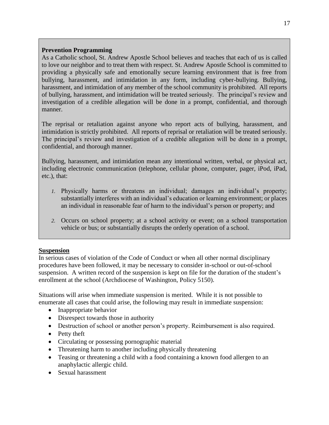## **Prevention Programming**

As a Catholic school, St. Andrew Apostle School believes and teaches that each of us is called to love our neighbor and to treat them with respect. St. Andrew Apostle School is committed to providing a physically safe and emotionally secure learning environment that is free from bullying, harassment, and intimidation in any form, including cyber-bullying. Bullying, harassment, and intimidation of any member of the school community is prohibited. All reports of bullying, harassment, and intimidation will be treated seriously. The principal's review and investigation of a credible allegation will be done in a prompt, confidential, and thorough manner.

The reprisal or retaliation against anyone who report acts of bullying, harassment, and intimidation is strictly prohibited. All reports of reprisal or retaliation will be treated seriously. The principal's review and investigation of a credible allegation will be done in a prompt, confidential, and thorough manner.

Bullying, harassment, and intimidation mean any intentional written, verbal, or physical act, including electronic communication (telephone, cellular phone, computer, pager, iPod, iPad, etc.), that:

- *1.* Physically harms or threatens an individual; damages an individual's property; substantially interferes with an individual's education or learning environment; or places an individual in reasonable fear of harm to the individual's person or property; and
- *2.* Occurs on school property; at a school activity or event; on a school transportation vehicle or bus; or substantially disrupts the orderly operation of a school.

## **Suspension**

In serious cases of violation of the Code of Conduct or when all other normal disciplinary procedures have been followed, it may be necessary to consider in-school or out-of-school suspension. A written record of the suspension is kept on file for the duration of the student's enrollment at the school (Archdiocese of Washington, Policy 5150).

Situations will arise when immediate suspension is merited. While it is not possible to enumerate all cases that could arise, the following may result in immediate suspension:

- Inappropriate behavior
- Disrespect towards those in authority
- Destruction of school or another person's property. Reimbursement is also required.
- Petty theft
- Circulating or possessing pornographic material
- Threatening harm to another including physically threatening
- Teasing or threatening a child with a food containing a known food allergen to an anaphylactic allergic child.
- Sexual harassment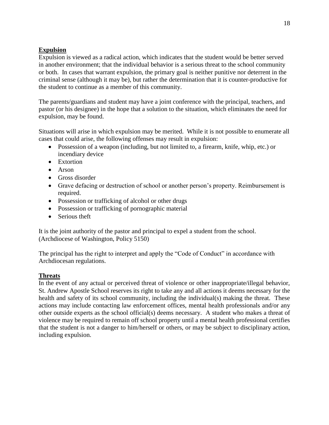## **Expulsion**

Expulsion is viewed as a radical action, which indicates that the student would be better served in another environment; that the individual behavior is a serious threat to the school community or both. In cases that warrant expulsion, the primary goal is neither punitive nor deterrent in the criminal sense (although it may be), but rather the determination that it is counter-productive for the student to continue as a member of this community.

The parents/guardians and student may have a joint conference with the principal, teachers, and pastor (or his designee) in the hope that a solution to the situation, which eliminates the need for expulsion, may be found.

Situations will arise in which expulsion may be merited. While it is not possible to enumerate all cases that could arise, the following offenses may result in expulsion:

- Possession of a weapon (including, but not limited to, a firearm, knife, whip, etc.) or incendiary device
- Extortion
- Arson
- Gross disorder
- Grave defacing or destruction of school or another person's property. Reimbursement is required.
- Possession or trafficking of alcohol or other drugs
- Possession or trafficking of pornographic material
- Serious theft

It is the joint authority of the pastor and principal to expel a student from the school. (Archdiocese of Washington, Policy 5150)

The principal has the right to interpret and apply the "Code of Conduct" in accordance with Archdiocesan regulations.

## **Threats**

In the event of any actual or perceived threat of violence or other inappropriate/illegal behavior, St. Andrew Apostle School reserves its right to take any and all actions it deems necessary for the health and safety of its school community, including the individual(s) making the threat. These actions may include contacting law enforcement offices, mental health professionals and/or any other outside experts as the school official(s) deems necessary. A student who makes a threat of violence may be required to remain off school property until a mental health professional certifies that the student is not a danger to him/herself or others, or may be subject to disciplinary action, including expulsion.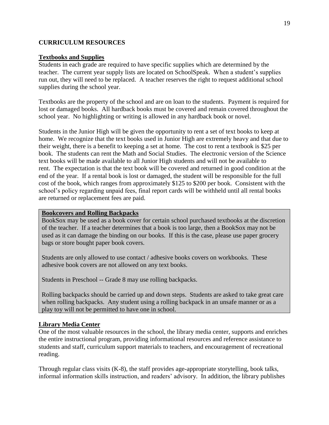#### **CURRICULUM RESOURCES**

#### **Textbooks and Supplies**

Students in each grade are required to have specific supplies which are determined by the teacher. The current year supply lists are located on SchoolSpeak. When a student's supplies run out, they will need to be replaced. A teacher reserves the right to request additional school supplies during the school year.

Textbooks are the property of the school and are on loan to the students. Payment is required for lost or damaged books. All hardback books must be covered and remain covered throughout the school year. No highlighting or writing is allowed in any hardback book or novel.

Students in the Junior High will be given the opportunity to rent a set of text books to keep at home. We recognize that the text books used in Junior High are extremely heavy and that due to their weight, there is a benefit to keeping a set at home. The cost to rent a textbook is \$25 per book. The students can rent the Math and Social Studies. The electronic version of the Science text books will be made available to all Junior High students and will not be available to rent. The expectation is that the text book will be covered and returned in good condition at the end of the year. If a rental book is lost or damaged, the student will be responsible for the full cost of the book, which ranges from approximately \$125 to \$200 per book. Consistent with the school's policy regarding unpaid fees, final report cards will be withheld until all rental books are returned or replacement fees are paid.

#### **Bookcovers and Rolling Backpacks**

BookSox may be used as a book cover for certain school purchased textbooks at the discretion of the teacher. If a teacher determines that a book is too large, then a BookSox may not be used as it can damage the binding on our books. If this is the case, please use paper grocery bags or store bought paper book covers.

Students are only allowed to use contact / adhesive books covers on workbooks. These adhesive book covers are not allowed on any text books.

Students in Preschool -- Grade 8 may use rolling backpacks.

Rolling backpacks should be carried up and down steps. Students are asked to take great care when rolling backpacks. Any student using a rolling backpack in an unsafe manner or as a play toy will not be permitted to have one in school.

#### **Library Media Center**

One of the most valuable resources in the school, the library media center, supports and enriches the entire instructional program, providing informational resources and reference assistance to students and staff, curriculum support materials to teachers, and encouragement of recreational reading.

Through regular class visits (K-8), the staff provides age-appropriate storytelling, book talks, informal information skills instruction, and readers' advisory. In addition, the library publishes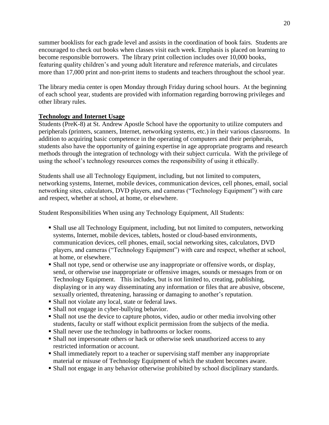summer booklists for each grade level and assists in the coordination of book fairs. Students are encouraged to check out books when classes visit each week. Emphasis is placed on learning to become responsible borrowers. The library print collection includes over 10,000 books, featuring quality children's and young adult literature and reference materials, and circulates more than 17,000 print and non-print items to students and teachers throughout the school year.

The library media center is open Monday through Friday during school hours. At the beginning of each school year, students are provided with information regarding borrowing privileges and other library rules.

### **Technology and Internet Usage**

Students (PreK-8) at St. Andrew Apostle School have the opportunity to utilize computers and peripherals (printers, scanners, Internet, networking systems, etc.) in their various classrooms. In addition to acquiring basic competence in the operating of computers and their peripherals, students also have the opportunity of gaining expertise in age appropriate programs and research methods through the integration of technology with their subject curricula. With the privilege of using the school's technology resources comes the responsibility of using it ethically.

Students shall use all Technology Equipment, including, but not limited to computers, networking systems, Internet, mobile devices, communication devices, cell phones, email, social networking sites, calculators, DVD players, and cameras ("Technology Equipment") with care and respect, whether at school, at home, or elsewhere.

Student Responsibilities When using any Technology Equipment, All Students:

- Shall use all Technology Equipment, including, but not limited to computers, networking systems, Internet, mobile devices, tablets, hosted or cloud-based environments, communication devices, cell phones, email, social networking sites, calculators, DVD players, and cameras ("Technology Equipment") with care and respect, whether at school, at home, or elsewhere.
- Shall not type, send or otherwise use any inappropriate or offensive words, or display, send, or otherwise use inappropriate or offensive images, sounds or messages from or on Technology Equipment. This includes, but is not limited to, creating, publishing, displaying or in any way disseminating any information or files that are abusive, obscene, sexually oriented, threatening, harassing or damaging to another's reputation.
- Shall not violate any local, state or federal laws.
- Shall not engage in cyber-bullying behavior.
- Shall not use the device to capture photos, video, audio or other media involving other students, faculty or staff without explicit permission from the subjects of the media.
- Shall never use the technology in bathrooms or locker rooms.
- Shall not impersonate others or hack or otherwise seek unauthorized access to any restricted information or account.
- Shall immediately report to a teacher or supervising staff member any inappropriate material or misuse of Technology Equipment of which the student becomes aware.
- Shall not engage in any behavior otherwise prohibited by school disciplinary standards.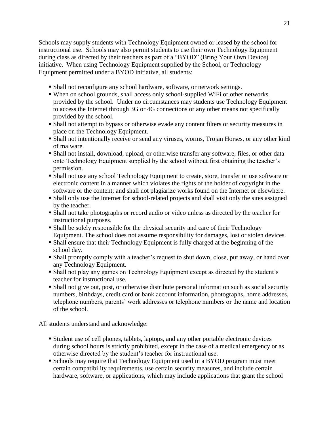Schools may supply students with Technology Equipment owned or leased by the school for instructional use. Schools may also permit students to use their own Technology Equipment during class as directed by their teachers as part of a "BYOD" (Bring Your Own Device) initiative. When using Technology Equipment supplied by the School, or Technology Equipment permitted under a BYOD initiative, all students:

- Shall not reconfigure any school hardware, software, or network settings.
- When on school grounds, shall access only school-supplied WiFi or other networks provided by the school. Under no circumstances may students use Technology Equipment to access the Internet through 3G or 4G connections or any other means not specifically provided by the school.
- Shall not attempt to bypass or otherwise evade any content filters or security measures in place on the Technology Equipment.
- Shall not intentionally receive or send any viruses, worms, Trojan Horses, or any other kind of malware.
- Shall not install, download, upload, or otherwise transfer any software, files, or other data onto Technology Equipment supplied by the school without first obtaining the teacher's permission.
- Shall not use any school Technology Equipment to create, store, transfer or use software or electronic content in a manner which violates the rights of the holder of copyright in the software or the content; and shall not plagiarize works found on the Internet or elsewhere.
- Shall only use the Internet for school-related projects and shall visit only the sites assigned by the teacher.
- Shall not take photographs or record audio or video unless as directed by the teacher for instructional purposes.
- Shall be solely responsible for the physical security and care of their Technology Equipment. The school does not assume responsibility for damages, lost or stolen devices.
- Shall ensure that their Technology Equipment is fully charged at the beginning of the school day.
- Shall promptly comply with a teacher's request to shut down, close, put away, or hand over any Technology Equipment.
- Shall not play any games on Technology Equipment except as directed by the student's teacher for instructional use.
- Shall not give out, post, or otherwise distribute personal information such as social security numbers, birthdays, credit card or bank account information, photographs, home addresses, telephone numbers, parents' work addresses or telephone numbers or the name and location of the school.

All students understand and acknowledge:

- Student use of cell phones, tablets, laptops, and any other portable electronic devices during school hours is strictly prohibited, except in the case of a medical emergency or as otherwise directed by the student's teacher for instructional use.
- Schools may require that Technology Equipment used in a BYOD program must meet certain compatibility requirements, use certain security measures, and include certain hardware, software, or applications, which may include applications that grant the school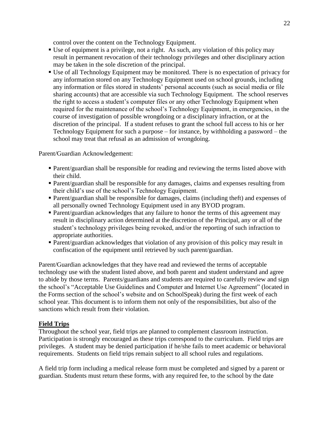control over the content on the Technology Equipment.

- Use of equipment is a privilege, not a right. As such, any violation of this policy may result in permanent revocation of their technology privileges and other disciplinary action may be taken in the sole discretion of the principal.
- Use of all Technology Equipment may be monitored. There is no expectation of privacy for any information stored on any Technology Equipment used on school grounds, including any information or files stored in students' personal accounts (such as social media or file sharing accounts) that are accessible via such Technology Equipment. The school reserves the right to access a student's computer files or any other Technology Equipment when required for the maintenance of the school's Technology Equipment, in emergencies, in the course of investigation of possible wrongdoing or a disciplinary infraction, or at the discretion of the principal. If a student refuses to grant the school full access to his or her Technology Equipment for such a purpose – for instance, by withholding a password – the school may treat that refusal as an admission of wrongdoing.

Parent/Guardian Acknowledgement:

- Parent/guardian shall be responsible for reading and reviewing the terms listed above with their child.
- **Parent/guardian shall be responsible for any damages, claims and expenses resulting from** their child's use of the school's Technology Equipment.
- Parent/guardian shall be responsible for damages, claims (including theft) and expenses of all personally owned Technology Equipment used in any BYOD program.
- Parent/guardian acknowledges that any failure to honor the terms of this agreement may result in disciplinary action determined at the discretion of the Principal, any or all of the student's technology privileges being revoked, and/or the reporting of such infraction to appropriate authorities.
- Parent/guardian acknowledges that violation of any provision of this policy may result in confiscation of the equipment until retrieved by such parent/guardian.

Parent/Guardian acknowledges that they have read and reviewed the terms of acceptable technology use with the student listed above, and both parent and student understand and agree to abide by those terms. Parents/guardians and students are required to carefully review and sign the school's "Acceptable Use Guidelines and Computer and Internet Use Agreement" (located in the Forms section of the school's website and on SchoolSpeak) during the first week of each school year. This document is to inform them not only of the responsibilities, but also of the sanctions which result from their violation.

## **Field Trips**

Throughout the school year, field trips are planned to complement classroom instruction. Participation is strongly encouraged as these trips correspond to the curriculum. Field trips are privileges. A student may be denied participation if he/she fails to meet academic or behavioral requirements. Students on field trips remain subject to all school rules and regulations.

A field trip form including a medical release form must be completed and signed by a parent or guardian. Students must return these forms, with any required fee, to the school by the date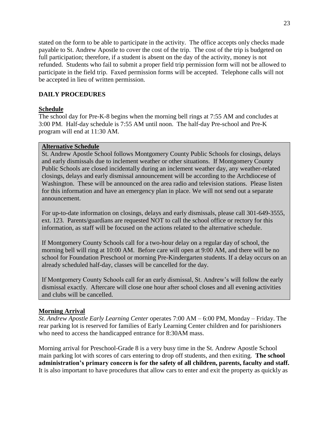stated on the form to be able to participate in the activity. The office accepts only checks made payable to St. Andrew Apostle to cover the cost of the trip. The cost of the trip is budgeted on full participation; therefore, if a student is absent on the day of the activity, money is not refunded. Students who fail to submit a proper field trip permission form will not be allowed to participate in the field trip. Faxed permission forms will be accepted. Telephone calls will not be accepted in lieu of written permission.

## **DAILY PROCEDURES**

#### **Schedule**

The school day for Pre-K-8 begins when the morning bell rings at 7:55 AM and concludes at 3:00 PM. Half-day schedule is 7:55 AM until noon. The half-day Pre-school and Pre-K program will end at 11:30 AM.

#### **Alternative Schedule**

St. Andrew Apostle School follows Montgomery County Public Schools for closings, delays and early dismissals due to inclement weather or other situations. If Montgomery County Public Schools are closed incidentally during an inclement weather day, any weather-related closings, delays and early dismissal announcement will be according to the Archdiocese of Washington. These will be announced on the area radio and television stations. Please listen for this information and have an emergency plan in place. We will not send out a separate announcement.

For up-to-date information on closings, delays and early dismissals, please call 301-649-3555, ext. 123. Parents/guardians are requested NOT to call the school office or rectory for this information, as staff will be focused on the actions related to the alternative schedule.

If Montgomery County Schools call for a two-hour delay on a regular day of school, the morning bell will ring at 10:00 AM. Before care will open at 9:00 AM, and there will be no school for Foundation Preschool or morning Pre-Kindergarten students. If a delay occurs on an already scheduled half-day, classes will be cancelled for the day.

If Montgomery County Schools call for an early dismissal, St. Andrew's will follow the early dismissal exactly. Aftercare will close one hour after school closes and all evening activities and clubs will be cancelled.

#### **Morning Arrival**

*St. Andrew Apostle Early Learning Center* operates 7:00 AM – 6:00 PM, Monday – Friday. The rear parking lot is reserved for families of Early Learning Center children and for parishioners who need to access the handicapped entrance for 8:30AM mass.

Morning arrival for Preschool-Grade 8 is a very busy time in the St. Andrew Apostle School main parking lot with scores of cars entering to drop off students, and then exiting. **The school administration's primary concern is for the safety of all children, parents, faculty and staff.** It is also important to have procedures that allow cars to enter and exit the property as quickly as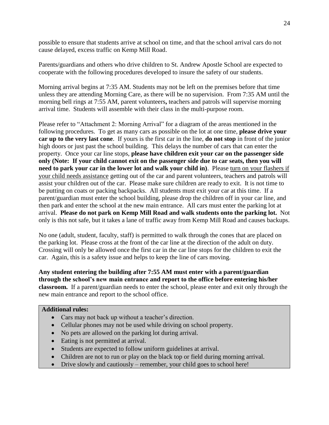possible to ensure that students arrive at school on time, and that the school arrival cars do not cause delayed, excess traffic on Kemp Mill Road.

Parents/guardians and others who drive children to St. Andrew Apostle School are expected to cooperate with the following procedures developed to insure the safety of our students.

Morning arrival begins at 7:35 AM. Students may not be left on the premises before that time unless they are attending Morning Care, as there will be no supervision. From 7:35 AM until the morning bell rings at 7:55 AM, parent volunteers**,** teachers and patrols will supervise morning arrival time. Students will assemble with their class in the multi-purpose room.

Please refer to "Attachment 2: Morning Arrival" for a diagram of the areas mentioned in the following procedures. To get as many cars as possible on the lot at one time, **please drive your car up to the very last cone**. If yours is the first car in the line, **do not stop** in front of the junior high doors or just past the school building. This delays the number of cars that can enter the property. Once your car line stops, **please have children exit your car on the passenger side only (Note: If your child cannot exit on the passenger side due to car seats, then you will need to park your car in the lower lot and walk your child in)**. Please turn on your flashers if your child needs assistance getting out of the car and parent volunteers, teachers and patrols will assist your children out of the car. Please make sure children are ready to exit. It is not time to be putting on coats or packing backpacks. All students must exit your car at this time. If a parent/guardian must enter the school building, please drop the children off in your car line, and then park and enter the school at the new main entrance. All cars must enter the parking lot at arrival. **Please do not park on Kemp Mill Road and walk students onto the parking lot.** Not only is this not safe, but it takes a lane of traffic away from Kemp Mill Road and causes backups.

No one (adult, student, faculty, staff) is permitted to walk through the cones that are placed on the parking lot. Please cross at the front of the car line at the direction of the adult on duty. Crossing will only be allowed once the first car in the car line stops for the children to exit the car. Again, this is a safety issue and helps to keep the line of cars moving.

**Any student entering the building after 7:55 AM must enter with a parent/guardian through the school's new main entrance and report to the office before entering his/her classroom.** If a parent/guardian needs to enter the school, please enter and exit only through the new main entrance and report to the school office.

#### **Additional rules:**

- Cars may not back up without a teacher's direction.
- Cellular phones may not be used while driving on school property.
- No pets are allowed on the parking lot during arrival.
- Eating is not permitted at arrival.
- Students are expected to follow uniform guidelines at arrival.
- Children are not to run or play on the black top or field during morning arrival.
- Drive slowly and cautiously remember, your child goes to school here!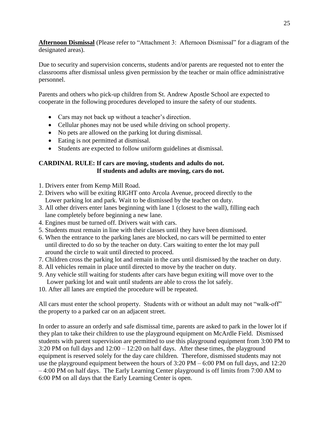**Afternoon Dismissal** (Please refer to "Attachment 3: Afternoon Dismissal" for a diagram of the designated areas).

Due to security and supervision concerns, students and/or parents are requested not to enter the classrooms after dismissal unless given permission by the teacher or main office administrative personnel.

Parents and others who pick-up children from St. Andrew Apostle School are expected to cooperate in the following procedures developed to insure the safety of our students.

- Cars may not back up without a teacher's direction.
- Cellular phones may not be used while driving on school property.
- No pets are allowed on the parking lot during dismissal.
- Eating is not permitted at dismissal.
- Students are expected to follow uniform guidelines at dismissal.

## **CARDINAL RULE: If cars are moving, students and adults do not. If students and adults are moving, cars do not.**

- 1. Drivers enter from Kemp Mill Road.
- 2. Drivers who will be exiting RIGHT onto Arcola Avenue, proceed directly to the Lower parking lot and park. Wait to be dismissed by the teacher on duty.
- 3. All other drivers enter lanes beginning with lane 1 (closest to the wall), filling each lane completely before beginning a new lane.
- 4. Engines must be turned off. Drivers wait with cars.
- 5. Students must remain in line with their classes until they have been dismissed.
- 6. When the entrance to the parking lanes are blocked, no cars will be permitted to enter until directed to do so by the teacher on duty. Cars waiting to enter the lot may pull around the circle to wait until directed to proceed.
- 7. Children cross the parking lot and remain in the cars until dismissed by the teacher on duty.
- 8. All vehicles remain in place until directed to move by the teacher on duty.
- 9. Any vehicle still waiting for students after cars have begun exiting will move over to the Lower parking lot and wait until students are able to cross the lot safely.
- 10. After all lanes are emptied the procedure will be repeated.

All cars must enter the school property. Students with or without an adult may not "walk-off" the property to a parked car on an adjacent street.

In order to assure an orderly and safe dismissal time, parents are asked to park in the lower lot if they plan to take their children to use the playground equipment on McArdle Field. Dismissed students with parent supervision are permitted to use this playground equipment from 3:00 PM to 3:20 PM on full days and  $12:00 - 12:20$  on half days. After these times, the playground equipment is reserved solely for the day care children. Therefore, dismissed students may not use the playground equipment between the hours of 3:20 PM – 6:00 PM on full days, and 12:20 – 4:00 PM on half days. The Early Learning Center playground is off limits from 7:00 AM to 6:00 PM on all days that the Early Learning Center is open.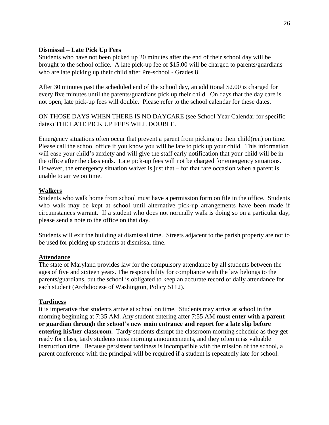### **Dismissal – Late Pick Up Fees**

Students who have not been picked up 20 minutes after the end of their school day will be brought to the school office. A late pick-up fee of \$15.00 will be charged to parents/guardians who are late picking up their child after Pre-school - Grades 8.

After 30 minutes past the scheduled end of the school day, an additional \$2.00 is charged for every five minutes until the parents/guardians pick up their child. On days that the day care is not open, late pick-up fees will double. Please refer to the school calendar for these dates.

ON THOSE DAYS WHEN THERE IS NO DAYCARE (see School Year Calendar for specific dates) THE LATE PICK UP FEES WILL DOUBLE.

Emergency situations often occur that prevent a parent from picking up their child(ren) on time. Please call the school office if you know you will be late to pick up your child. This information will ease your child's anxiety and will give the staff early notification that your child will be in the office after the class ends. Late pick-up fees will not be charged for emergency situations. However, the emergency situation waiver is just that – for that rare occasion when a parent is unable to arrive on time.

### **Walkers**

Students who walk home from school must have a permission form on file in the office. Students who walk may be kept at school until alternative pick-up arrangements have been made if circumstances warrant. If a student who does not normally walk is doing so on a particular day, please send a note to the office on that day.

Students will exit the building at dismissal time. Streets adjacent to the parish property are not to be used for picking up students at dismissal time.

## **Attendance**

The state of Maryland provides law for the compulsory attendance by all students between the ages of five and sixteen years. The responsibility for compliance with the law belongs to the parents/guardians, but the school is obligated to keep an accurate record of daily attendance for each student (Archdiocese of Washington, Policy 5112).

#### **Tardiness**

It is imperative that students arrive at school on time. Students may arrive at school in the morning beginning at 7:35 AM. Any student entering after 7:55 AM **must enter with a parent or guardian through the school's new main entrance and report for a late slip before entering his/her classroom.** Tardy students disrupt the classroom morning schedule as they get ready for class, tardy students miss morning announcements, and they often miss valuable instruction time. Because persistent tardiness is incompatible with the mission of the school, a parent conference with the principal will be required if a student is repeatedly late for school.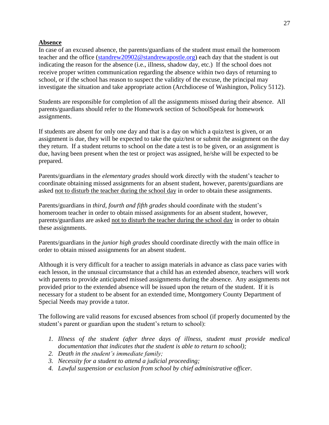#### **Absence**

In case of an excused absence, the parents/guardians of the student must email the homeroom teacher and the office (standrew20902@standrewapostle.org) each day that the student is out indicating the reason for the absence (i.e., illness, shadow day, etc.) If the school does not receive proper written communication regarding the absence within two days of returning to school, or if the school has reason to suspect the validity of the excuse, the principal may investigate the situation and take appropriate action (Archdiocese of Washington, Policy 5112).

Students are responsible for completion of all the assignments missed during their absence. All parents/guardians should refer to the Homework section of SchoolSpeak for homework assignments.

If students are absent for only one day and that is a day on which a quiz/test is given, or an assignment is due, they will be expected to take the quiz/test or submit the assignment on the day they return. If a student returns to school on the date a test is to be given, or an assignment is due, having been present when the test or project was assigned, he/she will be expected to be prepared.

Parents/guardians in the *elementary grades* should work directly with the student's teacher to coordinate obtaining missed assignments for an absent student, however, parents/guardians are asked not to disturb the teacher during the school day in order to obtain these assignments.

Parents/guardians in *third*, *fourth and fifth grades* should coordinate with the student's homeroom teacher in order to obtain missed assignments for an absent student, however, parents/guardians are asked not to disturb the teacher during the school day in order to obtain these assignments.

Parents/guardians in the *junior high grades* should coordinate directly with the main office in order to obtain missed assignments for an absent student.

Although it is very difficult for a teacher to assign materials in advance as class pace varies with each lesson, in the unusual circumstance that a child has an extended absence, teachers will work with parents to provide anticipated missed assignments during the absence. Any assignments not provided prior to the extended absence will be issued upon the return of the student. If it is necessary for a student to be absent for an extended time, Montgomery County Department of Special Needs may provide a tutor.

The following are valid reasons for excused absences from school (if properly documented by the student's parent or guardian upon the student's return to school):

- *1. Illness of the student (after three days of illness, student must provide medical documentation that indicates that the student is able to return to school);*
- *2. Death in the student's immediate family;*
- *3. Necessity for a student to attend a judicial proceeding;*
- *4. Lawful suspension or exclusion from school by chief administrative officer.*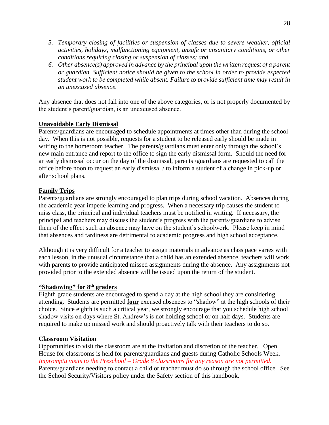- *5. Temporary closing of facilities or suspension of classes due to severe weather, official activities, holidays, malfunctioning equipment, unsafe or unsanitary conditions, or other conditions requiring closing or suspension of classes; and*
- *6. Other absence(s) approved in advance by the principal upon the written request of a parent or guardian. Sufficient notice should be given to the school in order to provide expected student work to be completed while absent. Failure to provide sufficient time may result in an unexcused absence.*

Any absence that does not fall into one of the above categories, or is not properly documented by the student's parent/guardian, is an unexcused absence.

## **Unavoidable Early Dismissal**

Parents/guardians are encouraged to schedule appointments at times other than during the school day. When this is not possible, requests for a student to be released early should be made in writing to the homeroom teacher. The parents/guardians must enter only through the school's new main entrance and report to the office to sign the early dismissal form. Should the need for an early dismissal occur on the day of the dismissal, parents /guardians are requested to call the office before noon to request an early dismissal / to inform a student of a change in pick-up or after school plans.

### **Family Trips**

Parents/guardians are strongly encouraged to plan trips during school vacation. Absences during the academic year impede learning and progress. When a necessary trip causes the student to miss class, the principal and individual teachers must be notified in writing. If necessary, the principal and teachers may discuss the student's progress with the parents/guardians to advise them of the effect such an absence may have on the student's schoolwork. Please keep in mind that absences and tardiness are detrimental to academic progress and high school acceptance.

Although it is very difficult for a teacher to assign materials in advance as class pace varies with each lesson, in the unusual circumstance that a child has an extended absence, teachers will work with parents to provide anticipated missed assignments during the absence. Any assignments not provided prior to the extended absence will be issued upon the return of the student.

#### **"Shadowing" for 8th graders**

Eighth grade students are encouraged to spend a day at the high school they are considering attending. Students are permitted **four** excused absences to "shadow" at the high schools of their choice. Since eighth is such a critical year, we strongly encourage that you schedule high school shadow visits on days where St. Andrew's is not holding school or on half days. Students are required to make up missed work and should proactively talk with their teachers to do so.

#### **Classroom Visitation**

Opportunities to visit the classroom are at the invitation and discretion of the teacher. Open House for classrooms is held for parents/guardians and guests during Catholic Schools Week. *Impromptu visits to the Preschool – Grade 8 classrooms for any reason are not permitted.* Parents/guardians needing to contact a child or teacher must do so through the school office. See the School Security/Visitors policy under the Safety section of this handbook.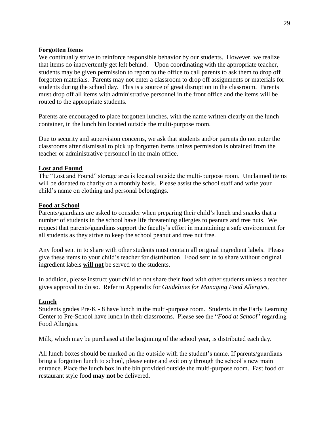### **Forgotten Items**

We continually strive to reinforce responsible behavior by our students. However, we realize that items do inadvertently get left behind. Upon coordinating with the appropriate teacher, students may be given permission to report to the office to call parents to ask them to drop off forgotten materials. Parents may not enter a classroom to drop off assignments or materials for students during the school day. This is a source of great disruption in the classroom. Parents must drop off all items with administrative personnel in the front office and the items will be routed to the appropriate students.

Parents are encouraged to place forgotten lunches, with the name written clearly on the lunch container, in the lunch bin located outside the multi-purpose room.

Due to security and supervision concerns, we ask that students and/or parents do not enter the classrooms after dismissal to pick up forgotten items unless permission is obtained from the teacher or administrative personnel in the main office.

### **Lost and Found**

The "Lost and Found" storage area is located outside the multi-purpose room. Unclaimed items will be donated to charity on a monthly basis. Please assist the school staff and write your child's name on clothing and personal belongings.

#### **Food at School**

Parents/guardians are asked to consider when preparing their child's lunch and snacks that a number of students in the school have life threatening allergies to peanuts and tree nuts. We request that parents/guardians support the faculty's effort in maintaining a safe environment for all students as they strive to keep the school peanut and tree nut free.

Any food sent in to share with other students must contain all original ingredient labels. Please give these items to your child's teacher for distribution. Food sent in to share without original ingredient labels **will not** be served to the students.

In addition, please instruct your child to not share their food with other students unless a teacher gives approval to do so. Refer to Appendix for *Guidelines for Managing Food Allergies,* 

## **Lunch**

Students grades Pre-K - 8 have lunch in the multi-purpose room. Students in the Early Learning Center to Pre-School have lunch in their classrooms. Please see the "*Food at School*" regarding Food Allergies.

Milk, which may be purchased at the beginning of the school year, is distributed each day.

All lunch boxes should be marked on the outside with the student's name. If parents/guardians bring a forgotten lunch to school, please enter and exit only through the school's new main entrance. Place the lunch box in the bin provided outside the multi-purpose room. Fast food or restaurant style food **may not** be delivered.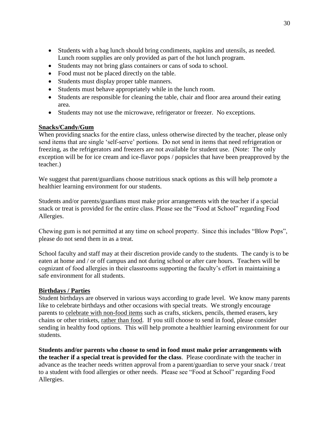- Students with a bag lunch should bring condiments, napkins and utensils, as needed. Lunch room supplies are only provided as part of the hot lunch program.
- Students may not bring glass containers or cans of soda to school.
- Food must not be placed directly on the table.
- Students must display proper table manners.
- Students must behave appropriately while in the lunch room.
- Students are responsible for cleaning the table, chair and floor area around their eating area.
- Students may not use the microwave, refrigerator or freezer. No exceptions.

## **Snacks/Candy/Gum**

When providing snacks for the entire class, unless otherwise directed by the teacher, please only send items that are single 'self-serve' portions. Do not send in items that need refrigeration or freezing, as the refrigerators and freezers are not available for student use. (Note: The only exception will be for ice cream and ice-flavor pops / popsicles that have been preapproved by the teacher.)

We suggest that parent/guardians choose nutritious snack options as this will help promote a healthier learning environment for our students.

Students and/or parents/guardians must make prior arrangements with the teacher if a special snack or treat is provided for the entire class. Please see the "Food at School" regarding Food Allergies.

Chewing gum is not permitted at any time on school property. Since this includes "Blow Pops", please do not send them in as a treat.

School faculty and staff may at their discretion provide candy to the students. The candy is to be eaten at home and / or off campus and not during school or after care hours. Teachers will be cognizant of food allergies in their classrooms supporting the faculty's effort in maintaining a safe environment for all students.

## **Birthdays / Parties**

Student birthdays are observed in various ways according to grade level. We know many parents like to celebrate birthdays and other occasions with special treats. We strongly encourage parents to celebrate with non-food items such as crafts, stickers, pencils, themed erasers, key chains or other trinkets, rather than food. If you still choose to send in food, please consider sending in healthy food options. This will help promote a healthier learning environment for our students.

**Students and/or parents who choose to send in food must make prior arrangements with the teacher if a special treat is provided for the class**. Please coordinate with the teacher in advance as the teacher needs written approval from a parent/guardian to serve your snack / treat to a student with food allergies or other needs. Please see "Food at School" regarding Food Allergies.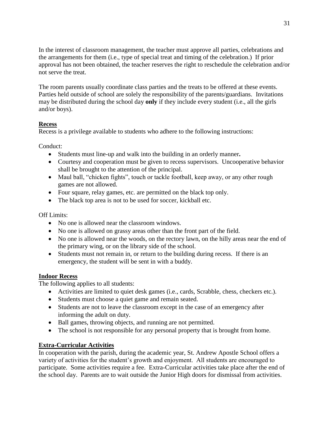In the interest of classroom management, the teacher must approve all parties, celebrations and the arrangements for them (i.e., type of special treat and timing of the celebration.) If prior approval has not been obtained, the teacher reserves the right to reschedule the celebration and/or not serve the treat.

The room parents usually coordinate class parties and the treats to be offered at these events. Parties held outside of school are solely the responsibility of the parents/guardians. Invitations may be distributed during the school day **only** if they include every student (i.e., all the girls and/or boys).

## **Recess**

Recess is a privilege available to students who adhere to the following instructions:

Conduct:

- Students must line-up and walk into the building in an orderly manner**.**
- Courtesy and cooperation must be given to recess supervisors. Uncooperative behavior shall be brought to the attention of the principal.
- Maul ball, "chicken fights", touch or tackle football, keep away, or any other rough games are not allowed.
- Four square, relay games, etc. are permitted on the black top only.
- The black top area is not to be used for soccer, kickball etc.

Off Limits:

- No one is allowed near the classroom windows.
- No one is allowed on grassy areas other than the front part of the field.
- No one is allowed near the woods, on the rectory lawn, on the hilly areas near the end of the primary wing, or on the library side of the school.
- Students must not remain in, or return to the building during recess. If there is an emergency, the student will be sent in with a buddy.

## **Indoor Recess**

The following applies to all students:

- Activities are limited to quiet desk games (i.e., cards, Scrabble, chess, checkers etc.).
- Students must choose a quiet game and remain seated.
- Students are not to leave the classroom except in the case of an emergency after informing the adult on duty.
- Ball games, throwing objects, and running are not permitted.
- The school is not responsible for any personal property that is brought from home.

## **Extra-Curricular Activities**

In cooperation with the parish, during the academic year, St. Andrew Apostle School offers a variety of activities for the student's growth and enjoyment. All students are encouraged to participate. Some activities require a fee. Extra-Curricular activities take place after the end of the school day. Parents are to wait outside the Junior High doors for dismissal from activities.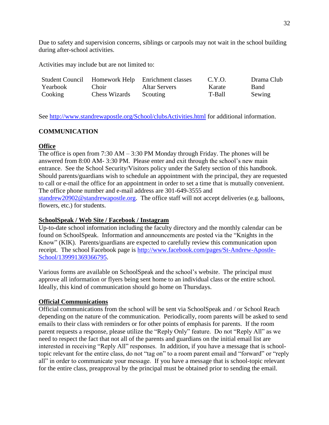Due to safety and supervision concerns, siblings or carpools may not wait in the school building during after-school activities.

Activities may include but are not limited to:

|          |                      | Student Council Homework Help Enrichment classes | C.Y.O. | Drama Club  |
|----------|----------------------|--------------------------------------------------|--------|-------------|
| Yearbook | Choir.               | Altar Servers                                    | Karate | <b>Band</b> |
| Cooking  | <b>Chess Wizards</b> | Scouting                                         | T-Ball | Sewing      |

See<http://www.standrewapostle.org/School/clubsActivities.html> for additional information.

## **COMMUNICATION**

### **Office**

The office is open from 7:30 AM  $-$  3:30 PM Monday through Friday. The phones will be answered from 8:00 AM- 3:30 PM. Please enter and exit through the school's new main entrance. See the School Security/Visitors policy under the Safety section of this handbook. Should parents/guardians wish to schedule an appointment with the principal, they are requested to call or e-mail the office for an appointment in order to set a time that is mutually convenient. The office phone number and e-mail address are 301-649-3555 and [standrew20902@standrewapostle.org.](mailto:standrew20902@standrewapostle.org) The office staff will not accept deliveries (e.g. balloons, flowers, etc.) for students.

#### **SchoolSpeak / Web Site / Facebook / Instagram**

Up-to-date school information including the faculty directory and the monthly calendar can be found on SchoolSpeak. Information and announcements are posted via the "Knights in the Know" (KIK). Parents/guardians are expected to carefully review this communication upon receipt. The school Facebook page is [http://www.facebook.com/pages/St-Andrew-Apostle-](http://www.facebook.com/pages/St-Andrew-Apostle-School/139991369366795)[School/139991369366795.](http://www.facebook.com/pages/St-Andrew-Apostle-School/139991369366795)

Various forms are available on SchoolSpeak and the school's website. The principal must approve all information or flyers being sent home to an individual class or the entire school. Ideally, this kind of communication should go home on Thursdays.

## **Official Communications**

Official communications from the school will be sent via SchoolSpeak and / or School Reach depending on the nature of the communication. Periodically, room parents will be asked to send emails to their class with reminders or for other points of emphasis for parents. If the room parent requests a response, please utilize the "Reply Only" feature. Do not "Reply All" as we need to respect the fact that not all of the parents and guardians on the initial email list are interested in receiving "Reply All" responses. In addition, if you have a message that is schooltopic relevant for the entire class, do not "tag on" to a room parent email and "forward" or "reply all" in order to communicate your message. If you have a message that is school-topic relevant for the entire class, preapproval by the principal must be obtained prior to sending the email.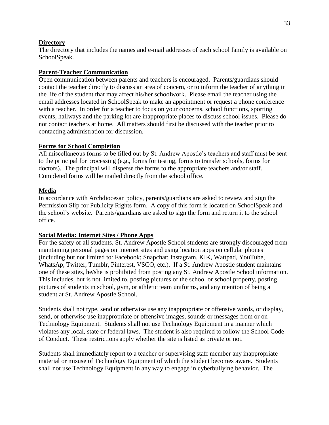#### **Directory**

The directory that includes the names and e-mail addresses of each school family is available on SchoolSpeak.

#### **Parent-Teacher Communication**

Open communication between parents and teachers is encouraged. Parents/guardians should contact the teacher directly to discuss an area of concern, or to inform the teacher of anything in the life of the student that may affect his/her schoolwork. Please email the teacher using the email addresses located in SchoolSpeak to make an appointment or request a phone conference with a teacher. In order for a teacher to focus on your concerns, school functions, sporting events, hallways and the parking lot are inappropriate places to discuss school issues. Please do not contact teachers at home. All matters should first be discussed with the teacher prior to contacting administration for discussion.

#### **Forms for School Completion**

All miscellaneous forms to be filled out by St. Andrew Apostle's teachers and staff must be sent to the principal for processing (e.g., forms for testing, forms to transfer schools, forms for doctors). The principal will disperse the forms to the appropriate teachers and/or staff. Completed forms will be mailed directly from the school office.

#### **Media**

In accordance with Archdiocesan policy, parents/guardians are asked to review and sign the Permission Slip for Publicity Rights form. A copy of this form is located on SchoolSpeak and the school's website. Parents/guardians are asked to sign the form and return it to the school office.

#### **Social Media: Internet Sites / Phone Apps**

For the safety of all students, St. Andrew Apostle School students are strongly discouraged from maintaining personal pages on Internet sites and using location apps on cellular phones (including but not limited to: Facebook; Snapchat; Instagram, KIK, Wattpad, YouTube, WhatsAp, Twitter, Tumblr, Pinterest, VSCO, etc.). If a St. Andrew Apostle student maintains one of these sites, he/she is prohibited from posting any St. Andrew Apostle School information. This includes, but is not limited to, posting pictures of the school or school property, posting pictures of students in school, gym, or athletic team uniforms, and any mention of being a student at St. Andrew Apostle School.

Students shall not type, send or otherwise use any inappropriate or offensive words, or display, send, or otherwise use inappropriate or offensive images, sounds or messages from or on Technology Equipment. Students shall not use Technology Equipment in a manner which violates any local, state or federal laws. The student is also required to follow the School Code of Conduct. These restrictions apply whether the site is listed as private or not.

Students shall immediately report to a teacher or supervising staff member any inappropriate material or misuse of Technology Equipment of which the student becomes aware. Students shall not use Technology Equipment in any way to engage in cyberbullying behavior. The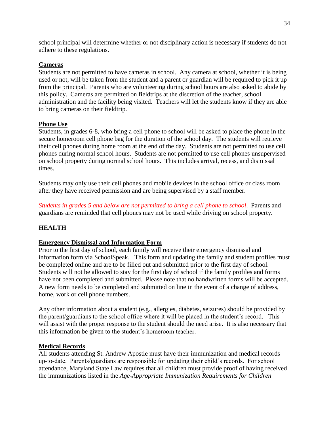school principal will determine whether or not disciplinary action is necessary if students do not adhere to these regulations.

## **Cameras**

Students are not permitted to have cameras in school. Any camera at school, whether it is being used or not, will be taken from the student and a parent or guardian will be required to pick it up from the principal. Parents who are volunteering during school hours are also asked to abide by this policy. Cameras are permitted on fieldtrips at the discretion of the teacher, school administration and the facility being visited. Teachers will let the students know if they are able to bring cameras on their fieldtrip.

## **Phone Use**

Students, in grades 6-8, who bring a cell phone to school will be asked to place the phone in the secure homeroom cell phone bag for the duration of the school day. The students will retrieve their cell phones during home room at the end of the day. Students are not permitted to use cell phones during normal school hours. Students are not permitted to use cell phones unsupervised on school property during normal school hours. This includes arrival, recess, and dismissal times.

Students may only use their cell phones and mobile devices in the school office or class room after they have received permission and are being supervised by a staff member.

*Students in grades 5 and below are not permitted to bring a cell phone to school*. Parents and guardians are reminded that cell phones may not be used while driving on school property.

## **HEALTH**

## **Emergency Dismissal and Information Form**

Prior to the first day of school, each family will receive their emergency dismissal and information form via SchoolSpeak. This form and updating the family and student profiles must be completed online and are to be filled out and submitted prior to the first day of school. Students will not be allowed to stay for the first day of school if the family profiles and forms have not been completed and submitted. Please note that no handwritten forms will be accepted. A new form needs to be completed and submitted on line in the event of a change of address, home, work or cell phone numbers.

Any other information about a student (e.g., allergies, diabetes, seizures) should be provided by the parent/guardians to the school office where it will be placed in the student's record. This will assist with the proper response to the student should the need arise. It is also necessary that this information be given to the student's homeroom teacher.

#### **Medical Records**

All students attending St. Andrew Apostle must have their immunization and medical records up-to-date. Parents/guardians are responsible for updating their child's records. For school attendance, Maryland State Law requires that all children must provide proof of having received the immunizations listed in the *Age-Appropriate Immunization Requirements for Children*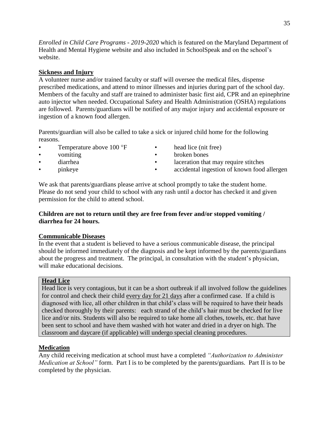*Enrolled in Child Care Programs - 2019-2020* which is featured on the Maryland Department of Health and Mental Hygiene website and also included in SchoolSpeak and on the school's website.

## **Sickness and Injury**

A volunteer nurse and/or trained faculty or staff will oversee the medical files, dispense prescribed medications, and attend to minor illnesses and injuries during part of the school day. Members of the faculty and staff are trained to administer basic first aid, CPR and an epinephrine auto injector when needed. Occupational Safety and Health Administration (OSHA) regulations are followed. Parents/guardians will be notified of any major injury and accidental exposure or ingestion of a known food allergen.

Parents/guardian will also be called to take a sick or injured child home for the following reasons.

- Temperature above 100 °F head lice (nit free)
	- vomiting broken bones
- 
- 
- 
- diarrhea laceration that may require stitches
- pinkeye accidental ingestion of known food allergen

We ask that parents/guardians please arrive at school promptly to take the student home. Please do not send your child to school with any rash until a doctor has checked it and given permission for the child to attend school.

## **Children are not to return until they are free from fever and/or stopped vomiting / diarrhea for 24 hours.**

## **Communicable Diseases**

In the event that a student is believed to have a serious communicable disease, the principal should be informed immediately of the diagnosis and be kept informed by the parents/guardians about the progress and treatment. The principal, in consultation with the student's physician, will make educational decisions.

#### **Head Lice**

Head lice is very contagious, but it can be a short outbreak if all involved follow the guidelines for control and check their child every day for 21 days after a confirmed case. If a child is diagnosed with lice, all other children in that child's class will be required to have their heads checked thoroughly by their parents: each strand of the child's hair must be checked for live lice and/or nits. Students will also be required to take home all clothes, towels, etc. that have been sent to school and have them washed with hot water and dried in a dryer on high. The classroom and daycare (if applicable) will undergo special cleaning procedures.

## **Medication**

Any child receiving medication at school must have a completed *"Authorization to Administer Medication at School"* form. Part I is to be completed by the parents/guardians. Part II is to be completed by the physician.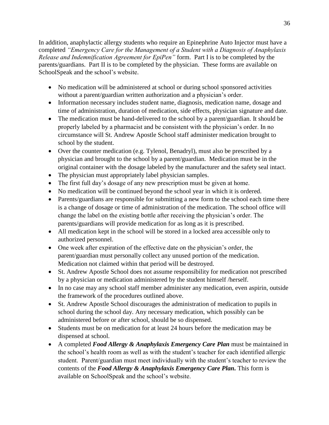In addition, anaphylactic allergy students who require an Epinephrine Auto Injector must have a completed *"Emergency Care for the Management of a Student with a Diagnosis of Anaphylaxis Release and Indemnification Agreement for EpiPen"* form. Part I is to be completed by the parents/guardians. Part II is to be completed by the physician. These forms are available on SchoolSpeak and the school's website.

- No medication will be administered at school or during school sponsored activities without a parent/guardian written authorization and a physician's order.
- Information necessary includes student name, diagnosis, medication name, dosage and time of administration, duration of medication, side effects, physician signature and date.
- The medication must be hand-delivered to the school by a parent/guardian. It should be properly labeled by a pharmacist and be consistent with the physician's order. In no circumstance will St. Andrew Apostle School staff administer medication brought to school by the student.
- Over the counter medication (e.g. Tylenol, Benadryl), must also be prescribed by a physician and brought to the school by a parent/guardian. Medication must be in the original container with the dosage labeled by the manufacturer and the safety seal intact.
- The physician must appropriately label physician samples.
- The first full day's dosage of any new prescription must be given at home.
- No medication will be continued beyond the school year in which it is ordered.
- Parents/guardians are responsible for submitting a new form to the school each time there is a change of dosage or time of administration of the medication. The school office will change the label on the existing bottle after receiving the physician's order. The parents/guardians will provide medication for as long as it is prescribed.
- All medication kept in the school will be stored in a locked area accessible only to authorized personnel.
- One week after expiration of the effective date on the physician's order, the parent/guardian must personally collect any unused portion of the medication. Medication not claimed within that period will be destroyed.
- St. Andrew Apostle School does not assume responsibility for medication not prescribed by a physician or medication administered by the student himself /herself.
- In no case may any school staff member administer any medication, even aspirin, outside the framework of the procedures outlined above.
- St. Andrew Apostle School discourages the administration of medication to pupils in school during the school day. Any necessary medication, which possibly can be administered before or after school, should be so dispensed.
- Students must be on medication for at least 24 hours before the medication may be dispensed at school.
- A completed *Food Allergy & Anaphylaxis Emergency Care Plan* must be maintained in the school's health room as well as with the student's teacher for each identified allergic student. Parent/guardian must meet individually with the student's teacher to review the contents of the *Food Allergy & Anaphylaxis Emergency Care Plan.* This form is available on SchoolSpeak and the school's website.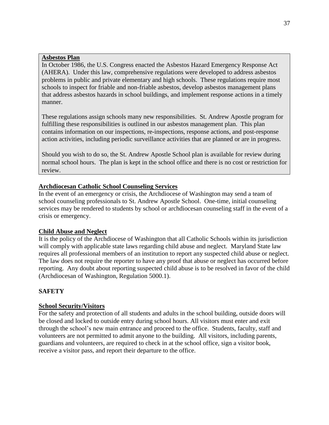#### **Asbestos Plan**

In October 1986, the U.S. Congress enacted the Asbestos Hazard Emergency Response Act (AHERA). Under this law, comprehensive regulations were developed to address asbestos problems in public and private elementary and high schools. These regulations require most schools to inspect for friable and non-friable asbestos, develop asbestos management plans that address asbestos hazards in school buildings, and implement response actions in a timely manner.

These regulations assign schools many new responsibilities. St. Andrew Apostle program for fulfilling these responsibilities is outlined in our asbestos management plan. This plan contains information on our inspections, re-inspections, response actions, and post-response action activities, including periodic surveillance activities that are planned or are in progress.

Should you wish to do so, the St. Andrew Apostle School plan is available for review during normal school hours. The plan is kept in the school office and there is no cost or restriction for review.

### **Archdiocesan Catholic School Counseling Services**

In the event of an emergency or crisis, the Archdiocese of Washington may send a team of school counseling professionals to St. Andrew Apostle School. One-time, initial counseling services may be rendered to students by school or archdiocesan counseling staff in the event of a crisis or emergency.

#### **Child Abuse and Neglect**

It is the policy of the Archdiocese of Washington that all Catholic Schools within its jurisdiction will comply with applicable state laws regarding child abuse and neglect. Maryland State law requires all professional members of an institution to report any suspected child abuse or neglect. The law does not require the reporter to have any proof that abuse or neglect has occurred before reporting. Any doubt about reporting suspected child abuse is to be resolved in favor of the child (Archdiocesan of Washington, Regulation 5000.1).

## **SAFETY**

#### **School Security/Visitors**

For the safety and protection of all students and adults in the school building, outside doors will be closed and locked to outside entry during school hours. All visitors must enter and exit through the school's new main entrance and proceed to the office. Students, faculty, staff and volunteers are not permitted to admit anyone to the building. All visitors, including parents, guardians and volunteers, are required to check in at the school office, sign a visitor book, receive a visitor pass, and report their departure to the office.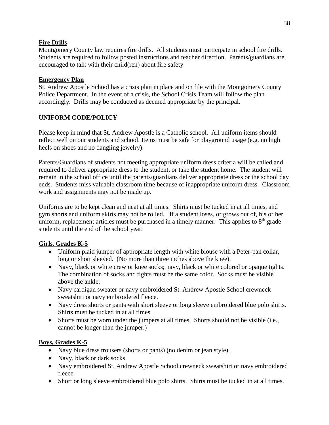## **Fire Drills**

Montgomery County law requires fire drills. All students must participate in school fire drills. Students are required to follow posted instructions and teacher direction. Parents/guardians are encouraged to talk with their child(ren) about fire safety.

## **Emergency Plan**

St. Andrew Apostle School has a crisis plan in place and on file with the Montgomery County Police Department. In the event of a crisis, the School Crisis Team will follow the plan accordingly. Drills may be conducted as deemed appropriate by the principal.

## **UNIFORM CODE/POLICY**

Please keep in mind that St. Andrew Apostle is a Catholic school. All uniform items should reflect well on our students and school. Items must be safe for playground usage (e.g. no high heels on shoes and no dangling jewelry).

Parents/Guardians of students not meeting appropriate uniform dress criteria will be called and required to deliver appropriate dress to the student, or take the student home. The student will remain in the school office until the parents/guardians deliver appropriate dress or the school day ends. Students miss valuable classroom time because of inappropriate uniform dress. Classroom work and assignments may not be made up.

Uniforms are to be kept clean and neat at all times. Shirts must be tucked in at all times, and gym shorts and uniform skirts may not be rolled. If a student loses, or grows out of, his or her uniform, replacement articles must be purchased in a timely manner. This applies to  $8<sup>th</sup>$  grade students until the end of the school year.

## **Girls, Grades K-5**

- Uniform plaid jumper of appropriate length with white blouse with a Peter-pan collar, long or short sleeved. (No more than three inches above the knee).
- Navy, black or white crew or knee socks; navy, black or white colored or opaque tights. The combination of socks and tights must be the same color. Socks must be visible above the ankle.
- Navy cardigan sweater or navy embroidered St. Andrew Apostle School crewneck sweatshirt or navy embroidered fleece.
- Navy dress shorts or pants with short sleeve or long sleeve embroidered blue polo shirts. Shirts must be tucked in at all times.
- Shorts must be worn under the jumpers at all times. Shorts should not be visible (i.e., cannot be longer than the jumper.)

## **Boys, Grades K-5**

- Navy blue dress trousers (shorts or pants) (no denim or jean style).
- Navy, black or dark socks.
- Navy embroidered St. Andrew Apostle School crewneck sweatshirt or navy embroidered fleece.
- Short or long sleeve embroidered blue polo shirts. Shirts must be tucked in at all times.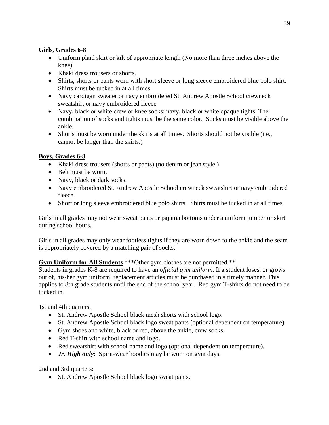## **Girls, Grades 6-8**

- Uniform plaid skirt or kilt of appropriate length (No more than three inches above the knee).
- Khaki dress trousers or shorts.
- Shirts, shorts or pants worn with short sleeve or long sleeve embroidered blue polo shirt. Shirts must be tucked in at all times.
- Navy cardigan sweater or navy embroidered St. Andrew Apostle School crewneck sweatshirt or navy embroidered fleece
- Navy, black or white crew or knee socks; navy, black or white opaque tights. The combination of socks and tights must be the same color. Socks must be visible above the ankle.
- Shorts must be worn under the skirts at all times. Shorts should not be visible (i.e., cannot be longer than the skirts.)

## **Boys, Grades 6-8**

- Khaki dress trousers (shorts or pants) (no denim or jean style.)
- Belt must be worn.
- Navy, black or dark socks.
- Navy embroidered St. Andrew Apostle School crewneck sweatshirt or navy embroidered fleece.
- Short or long sleeve embroidered blue polo shirts. Shirts must be tucked in at all times.

Girls in all grades may not wear sweat pants or pajama bottoms under a uniform jumper or skirt during school hours.

Girls in all grades may only wear footless tights if they are worn down to the ankle and the seam is appropriately covered by a matching pair of socks.

## **Gym Uniform for All Students** \*\*\*Other gym clothes are not permitted.\*\*

Students in grades K-8 are required to have an *official gym uniform*. If a student loses, or grows out of, his/her gym uniform, replacement articles must be purchased in a timely manner. This applies to 8th grade students until the end of the school year. Red gym T-shirts do not need to be tucked in.

1st and 4th quarters:

- St. Andrew Apostle School black mesh shorts with school logo.
- St. Andrew Apostle School black logo sweat pants (optional dependent on temperature).
- Gym shoes and white, black or red, above the ankle, crew socks.
- Red T-shirt with school name and logo.
- Red sweatshirt with school name and logo (optional dependent on temperature).
- *Jr. High only*: Spirit-wear hoodies may be worn on gym days.

2nd and 3rd quarters:

• St. Andrew Apostle School black logo sweat pants.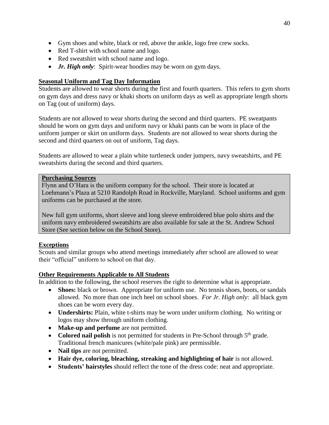- Gym shoes and white, black or red, above the ankle, logo free crew socks.
- Red T-shirt with school name and logo.
- Red sweatshirt with school name and logo.
- *Jr. High only*: Spirit-wear hoodies may be worn on gym days.

## **Seasonal Uniform and Tag Day Information**

Students are allowed to wear shorts during the first and fourth quarters. This refers to gym shorts on gym days and dress navy or khaki shorts on uniform days as well as appropriate length shorts on Tag (out of uniform) days.

Students are not allowed to wear shorts during the second and third quarters. PE sweatpants should be worn on gym days and uniform navy or khaki pants can be worn in place of the uniform jumper or skirt on uniform days. Students are not allowed to wear shorts during the second and third quarters on out of uniform, Tag days.

Students are allowed to wear a plain white turtleneck under jumpers, navy sweatshirts, and PE sweatshirts during the second and third quarters.

#### **Purchasing Sources**

Flynn and O'Hara is the uniform company for the school. Their store is located at Loehmann's Plaza at 5210 Randolph Road in Rockville, Maryland. School uniforms and gym uniforms can be purchased at the store.

New full gym uniforms, short sleeve and long sleeve embroidered blue polo shirts and the uniform navy embroidered sweatshirts are also available for sale at the St. Andrew School Store (See section below on the School Store).

#### **Exceptions**

Scouts and similar groups who attend meetings immediately after school are allowed to wear their "official" uniform to school on that day.

#### **Other Requirements Applicable to All Students**

In addition to the following, the school reserves the right to determine what is appropriate.

- **Shoes:** black or brown. Appropriate for uniform use. No tennis shoes, boots, or sandals allowed. No more than one inch heel on school shoes. *For Jr. High only*: all black gym shoes can be worn every day.
- **Undershirts:** Plain, white t-shirts may be worn under uniform clothing. No writing or logos may show through uniform clothing.
- **Make-up and perfume** are not permitted.
- **Colored nail polish** is not permitted for students in Pre-School through 5<sup>th</sup> grade. Traditional french manicures (white/pale pink) are permissible.
- **Nail tips** are not permitted.
- **Hair dye, coloring, bleaching, streaking and highlighting of hair** is not allowed.
- **Students' hairstyles** should reflect the tone of the dress code: neat and appropriate.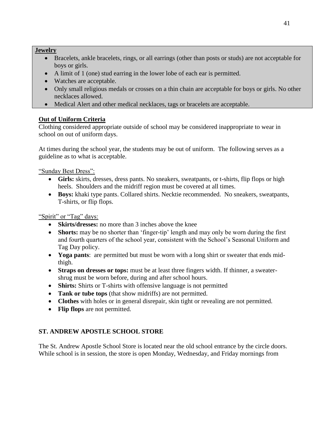### **Jewelry**

- Bracelets, ankle bracelets, rings, or all earrings (other than posts or studs) are not acceptable for boys or girls.
- A limit of 1 (one) stud earring in the lower lobe of each ear is permitted.
- Watches are acceptable.
- Only small religious medals or crosses on a thin chain are acceptable for boys or girls. No other necklaces allowed.
- Medical Alert and other medical necklaces, tags or bracelets are acceptable.

## **Out of Uniform Criteria**

Clothing considered appropriate outside of school may be considered inappropriate to wear in school on out of uniform days.

At times during the school year, the students may be out of uniform. The following serves as a guideline as to what is acceptable.

"Sunday Best Dress":

- **Girls:** skirts, dresses, dress pants. No sneakers, sweatpants, or t-shirts, flip flops or high heels. Shoulders and the midriff region must be covered at all times.
- **Boys:** khaki type pants. Collared shirts. Necktie recommended. No sneakers, sweatpants, T-shirts, or flip flops.

"Spirit" or "Tag" days:

- **Skirts/dresses:** no more than 3 inches above the knee
- **Shorts:** may be no shorter than 'finger-tip' length and may only be worn during the first and fourth quarters of the school year, consistent with the School's Seasonal Uniform and Tag Day policy.
- **Yoga pants**: are permitted but must be worn with a long shirt or sweater that ends midthigh.
- **Straps on dresses or tops:** must be at least three fingers width. If thinner, a sweatershrug must be worn before, during and after school hours.
- **Shirts:** Shirts or T-shirts with offensive language is not permitted
- **Tank or tube tops** (that show midriffs) are not permitted.
- **Clothes** with holes or in general disrepair, skin tight or revealing are not permitted.
- **Flip flops** are not permitted.

## **ST. ANDREW APOSTLE SCHOOL STORE**

The St. Andrew Apostle School Store is located near the old school entrance by the circle doors. While school is in session, the store is open Monday, Wednesday, and Friday mornings from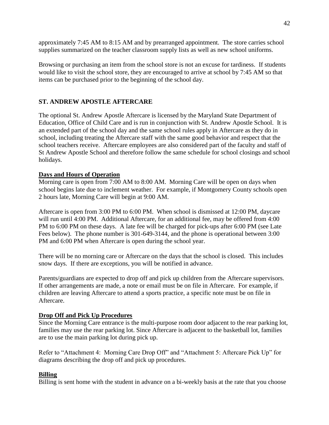approximately 7:45 AM to 8:15 AM and by prearranged appointment. The store carries school supplies summarized on the teacher classroom supply lists as well as new school uniforms.

Browsing or purchasing an item from the school store is not an excuse for tardiness. If students would like to visit the school store, they are encouraged to arrive at school by 7:45 AM so that items can be purchased prior to the beginning of the school day.

## **ST. ANDREW APOSTLE AFTERCARE**

The optional St. Andrew Apostle Aftercare is licensed by the Maryland State Department of Education, Office of Child Care and is run in conjunction with St. Andrew Apostle School. It is an extended part of the school day and the same school rules apply in Aftercare as they do in school, including treating the Aftercare staff with the same good behavior and respect that the school teachers receive. Aftercare employees are also considered part of the faculty and staff of St Andrew Apostle School and therefore follow the same schedule for school closings and school holidays.

## **Days and Hours of Operation**

Morning care is open from 7:00 AM to 8:00 AM. Morning Care will be open on days when school begins late due to inclement weather. For example, if Montgomery County schools open 2 hours late, Morning Care will begin at 9:00 AM.

Aftercare is open from 3:00 PM to 6:00 PM. When school is dismissed at 12:00 PM, daycare will run until 4:00 PM. Additional Aftercare, for an additional fee, may be offered from 4:00 PM to 6:00 PM on these days. A late fee will be charged for pick-ups after 6:00 PM (see Late Fees below). The phone number is 301-649-3144, and the phone is operational between 3:00 PM and  $6:00$  PM when Aftercare is open during the school year.

There will be no morning care or Aftercare on the days that the school is closed. This includes snow days. If there are exceptions, you will be notified in advance.

Parents/guardians are expected to drop off and pick up children from the Aftercare supervisors. If other arrangements are made, a note or email must be on file in Aftercare. For example, if children are leaving Aftercare to attend a sports practice, a specific note must be on file in Aftercare.

## **Drop Off and Pick Up Procedures**

Since the Morning Care entrance is the multi-purpose room door adjacent to the rear parking lot, families may use the rear parking lot. Since Aftercare is adjacent to the basketball lot, families are to use the main parking lot during pick up.

Refer to "Attachment 4: Morning Care Drop Off" and "Attachment 5: Aftercare Pick Up" for diagrams describing the drop off and pick up procedures.

## **Billing**

Billing is sent home with the student in advance on a bi-weekly basis at the rate that you choose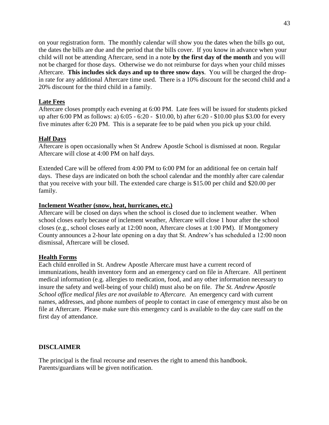on your registration form. The monthly calendar will show you the dates when the bills go out, the dates the bills are due and the period that the bills cover. If you know in advance when your child will not be attending Aftercare, send in a note **by the first day of the month** and you will not be charged for those days. Otherwise we do not reimburse for days when your child misses Aftercare. **This includes sick days and up to three snow days**. You will be charged the dropin rate for any additional Aftercare time used. There is a 10% discount for the second child and a 20% discount for the third child in a family.

#### **Late Fees**

Aftercare closes promptly each evening at 6:00 PM. Late fees will be issued for students picked up after 6:00 PM as follows: a) 6:05 - 6:20 - \$10.00, b) after 6:20 - \$10.00 plus \$3.00 for every five minutes after 6:20 PM. This is a separate fee to be paid when you pick up your child.

#### **Half Days**

Aftercare is open occasionally when St Andrew Apostle School is dismissed at noon. Regular Aftercare will close at 4:00 PM on half days.

Extended Care will be offered from 4:00 PM to 6:00 PM for an additional fee on certain half days. These days are indicated on both the school calendar and the monthly after care calendar that you receive with your bill. The extended care charge is \$15.00 per child and \$20.00 per family.

#### **Inclement Weather (snow, heat, hurricanes, etc.)**

Aftercare will be closed on days when the school is closed due to inclement weather. When school closes early because of inclement weather, Aftercare will close 1 hour after the school closes (e.g., school closes early at 12:00 noon, Aftercare closes at 1:00 PM). If Montgomery County announces a 2-hour late opening on a day that St. Andrew's has scheduled a 12:00 noon dismissal, Aftercare will be closed.

#### **Health Forms**

Each child enrolled in St. Andrew Apostle Aftercare must have a current record of immunizations, health inventory form and an emergency card on file in Aftercare. All pertinent medical information (e.g. allergies to medication, food, and any other information necessary to insure the safety and well-being of your child) must also be on file. *The St. Andrew Apostle School office medical files are not available to Aftercare.* An emergency card with current names, addresses, and phone numbers of people to contact in case of emergency must also be on file at Aftercare. Please make sure this emergency card is available to the day care staff on the first day of attendance.

#### **DISCLAIMER**

The principal is the final recourse and reserves the right to amend this handbook. Parents/guardians will be given notification.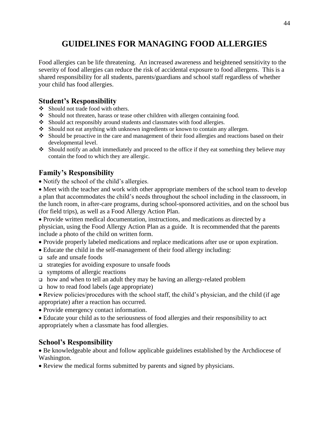# **GUIDELINES FOR MANAGING FOOD ALLERGIES**

Food allergies can be life threatening. An increased awareness and heightened sensitivity to the severity of food allergies can reduce the risk of accidental exposure to food allergens. This is a shared responsibility for all students, parents/guardians and school staff regardless of whether your child has food allergies.

# **Student's Responsibility**

- ❖ Should not trade food with others.
- ❖ Should not threaten, harass or tease other children with allergen containing food.
- ❖ Should act responsibly around students and classmates with food allergies.
- ❖ Should not eat anything with unknown ingredients or known to contain any allergen.
- ❖ Should be proactive in the care and management of their food allergies and reactions based on their developmental level.
- ❖ Should notify an adult immediately and proceed to the office if they eat something they believe may contain the food to which they are allergic.

# **Family's Responsibility**

- Notify the school of the child's allergies.
- Meet with the teacher and work with other appropriate members of the school team to develop a plan that accommodates the child's needs throughout the school including in the classroom, in the lunch room, in after-care programs, during school-sponsored activities, and on the school bus (for field trips), as well as a Food Allergy Action Plan.

• Provide written medical documentation, instructions, and medications as directed by a physician, using the Food Allergy Action Plan as a guide. It is recommended that the parents include a photo of the child on written form.

- Provide properly labeled medications and replace medications after use or upon expiration.
- Educate the child in the self-management of their food allergy including:
- ❑ safe and unsafe foods
- ❑ strategies for avoiding exposure to unsafe foods
- ❑ symptoms of allergic reactions
- ❑ how and when to tell an adult they may be having an allergy-related problem
- ❑ how to read food labels (age appropriate)
- Review policies/procedures with the school staff, the child's physician, and the child (if age appropriate) after a reaction has occurred.
- Provide emergency contact information.
- Educate your child as to the seriousness of food allergies and their responsibility to act appropriately when a classmate has food allergies.

# **School's Responsibility**

• Be knowledgeable about and follow applicable guidelines established by the Archdiocese of Washington.

• Review the medical forms submitted by parents and signed by physicians.